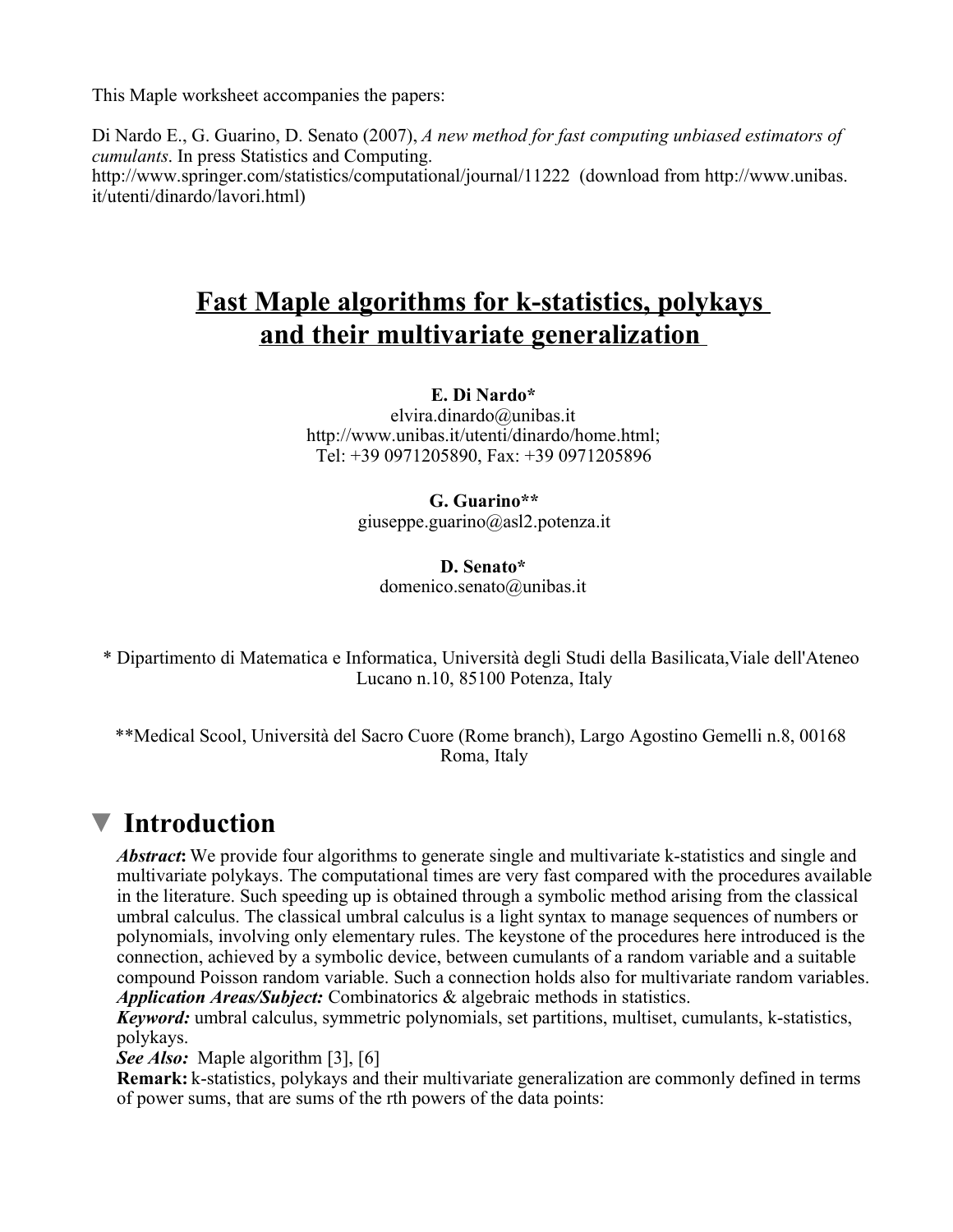This Maple worksheet accompanies the papers:

Di Nardo E., G. Guarino, D. Senato (2007), A new method for fast computing unbiased estimators of cumulants. In press Statistics and Computing. http://www.springer.com/statistics/computational/journal/11222 (download from http://www.unibas. it/utenti/dinardo/lavori.html)

# Fast Maple algorithms for k-statistics, polykays and their multivariate generalization

#### E. Di Nardo\*

elvira.dinardo@unibas.it http://www.unibas.it/utenti/dinardo/home.html; Tel: +39 0971205890, Fax: +39 0971205896

> G. Guarino\*\* giuseppe.guarino@asl2.potenza.it

#### D. Senato\* domenico.senato@unibas.it

\* Dipartimento di Matematica e Informatica, Università degli Studi della Basilicata,Viale dell'Ateneo Lucano n.10, 85100 Potenza, Italy

\*\*Medical Scool, Università del Sacro Cuore (Rome branch), Largo Agostino Gemelli n.8, 00168 Roma, Italy

# **V** Introduction

Abstract: We provide four algorithms to generate single and multivariate k-statistics and single and multivariate polykays. The computational times are very fast compared with the procedures available in the literature. Such speeding up is obtained through a symbolic method arising from the classical umbral calculus. The classical umbral calculus is a light syntax to manage sequences of numbers or polynomials, involving only elementary rules. The keystone of the procedures here introduced is the connection, achieved by a symbolic device, between cumulants of a random variable and a suitable compound Poisson random variable. Such a connection holds also for multivariate random variables. Application Areas/Subject: Combinatorics & algebraic methods in statistics.

Keyword: umbral calculus, symmetric polynomials, set partitions, multiset, cumulants, k-statistics, polykays.

See Also: Maple algorithm [3], [6]

Remark: k-statistics, polykays and their multivariate generalization are commonly defined in terms of power sums, that are sums of the rth powers of the data points: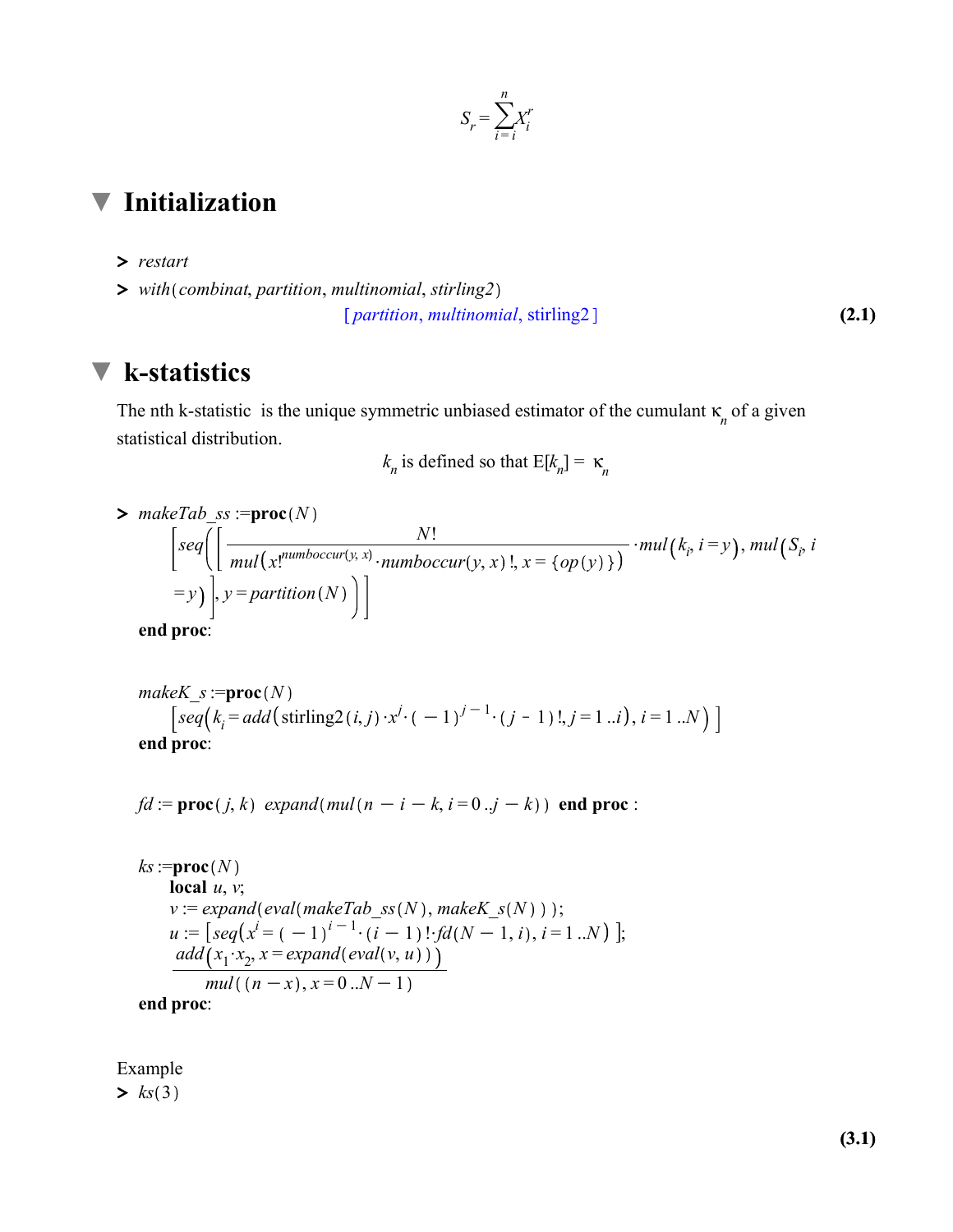

## Initialization

- > restart
- $\triangleright$  with(combinat, partition, multinomial, stirling2)

(2.1) [*partition, multinomial, stirling2*]

### **V** k-statistics

The nth k-statistic is the unique symmetric unbiased estimator of the cumulant  $\kappa_n$  of a given statistical distribution.

 $k_n$  is defined so that  $E[k_n] = \kappa_n$ 

 $> makeTab\_ss := \textbf{proc}(N)$  $\text{seq}\left( \left[ \frac{N!}{\text{sampleg}(\text{new}) \cdot \text{x}} \right] \right]$  $mul(x!^{number(y,x)}\cdot numboccur(y,x)$ !,  $x = \{op(y)\}\}$  $\cdot$ mul( $k_i$ , i = y), mul( $S_i$ , i  $=y$ ),  $y =$  partition(N) end proc:

make
$$
K_s
$$
 :=**proc**( $N$ )  
\n
$$
\left[ seq(k_i = add(\text{stirling2}(i, j) \cdot x^j \cdot (-1)^{j-1} \cdot (j-1) \cdot l, j=1..i), i=1..N) \right]
$$
\n
$$
end proc:
$$

 $fd := \text{proc}(j, k)$  expand (mul(n - i - k, i = 0 ..j - k)) end proc :

 $ks := \textbf{proc}(N)$ local  $u, v$ ;  $v := expand(eval(makeTab\_ss(N),makeK_s(N))$ ;  $u := [seq(x^{i} = (-1)^{i-1} \cdot (i-1)! \cdot fd(N-1, i), i = 1..N)]$ ;  $add(x_1 \cdot x_2, x = expand(\text{eval}(v, u)))$  $mull((n - x), x = 0..N - 1)$ end proc:

 $\geq ks(3)$ Example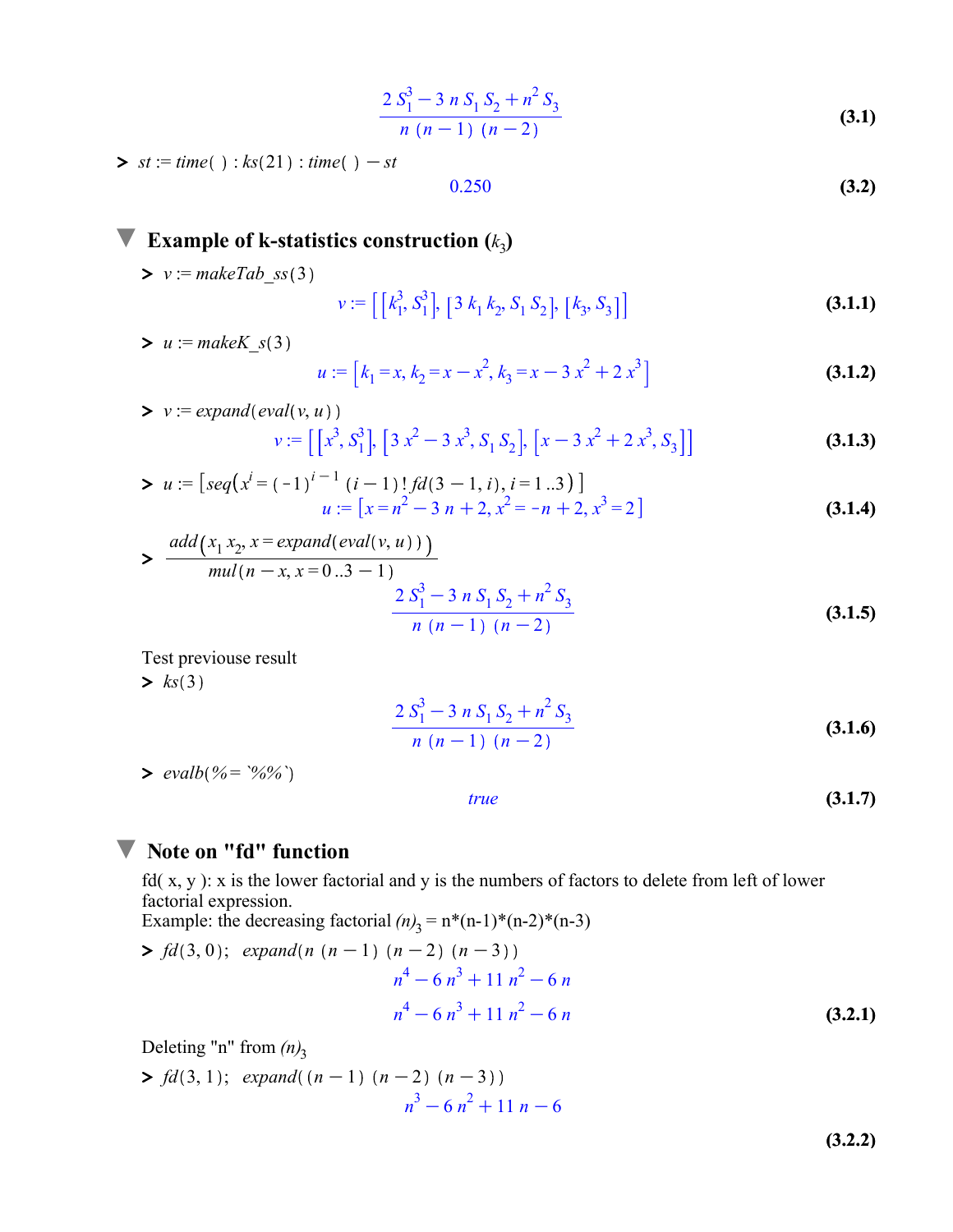$$
\frac{2 S_1^3 - 3 n S_1 S_2 + n^2 S_3}{n (n-1) (n-2)}
$$
\n(3.1)

 $\triangleright$  st := time() :  $ks(21)$  : time() - st

$$
0.250 \tag{3.2}
$$

Example of k-statistics construction  $(k_3)$ 

 $\triangleright$   $v :=$  makeTab\_ss(3)

$$
v := \left[ \left[ k_1^3, S_1^3 \right], \left[ 3 \ k_1 \ k_2, S_1 \ S_2 \right], \left[ k_3, S_3 \right] \right] \tag{3.1.1}
$$

 $> u :=$  makeK\_s(3)

$$
u := [k_1 = x, k_2 = x - x^2, k_3 = x - 3x^2 + 2x^3]
$$
\n(3.1.2)

> 
$$
v := expand(\text{eval}(v, u))
$$
  
\n $v := [[x^3, S_1^3], [3x^2 - 3x^3, S_1 S_2], [x - 3x^2 + 2x^3, S_3]]$  (3.1.3)

> 
$$
u := [seq(x^{i} = (-1)^{i-1} (i-1)!fd(3-1, i), i = 1..3)]
$$
  
\n $u := [x = n^{2} - 3n + 2, x^{2} = -n + 2, x^{3} = 2]$  (3.1.4)

> 
$$
\frac{add(x_1 x_2, x = expandeval(v, u)))}{mul(n - x, x = 0..3 - 1)}
$$
  

$$
\frac{2 S_1^3 - 3 n S_1 S_2 + n^2 S_3}{n (n - 1) (n - 2)}
$$
 (3.1.5)

 $>$   $ks(3)$ Test previouse result

$$
\frac{2 S_1^3 - 3 n S_1 S_2 + n^2 S_3}{n (n-1) (n-2)}
$$
\n(3.1.6)

 $> \text{evalb}(% = \frac{6}{6})$ 

$$
f_{\rm{max}}
$$

 $(3.1.7)$ 

#### **V** Note on "fd" function

fd( x, y ): x is the lower factorial and y is the numbers of factors to delete from left of lower factorial expression.

true

Example: the decreasing factorial  $(n)$ <sub>3</sub> = n\*(n-1)\*(n-2)\*(n-3)

> 
$$
fd(3, 0)
$$
;  $expand(n (n - 1) (n - 2) (n - 3))$   
\n $n^4 - 6n^3 + 11n^2 - 6n$   
\n $n^4 - 6n^3 + 11n^2 - 6n$  (3.2.1)

Deleting "n" from  $(n)$ <sub>3</sub>

$$
\frac{}{3} f d(3,1); \text{ expand}((n-1) (n-2) (n-3))
$$
\n
$$
n^3 - 6 n^2 + 11 n - 6
$$

(3.2.2)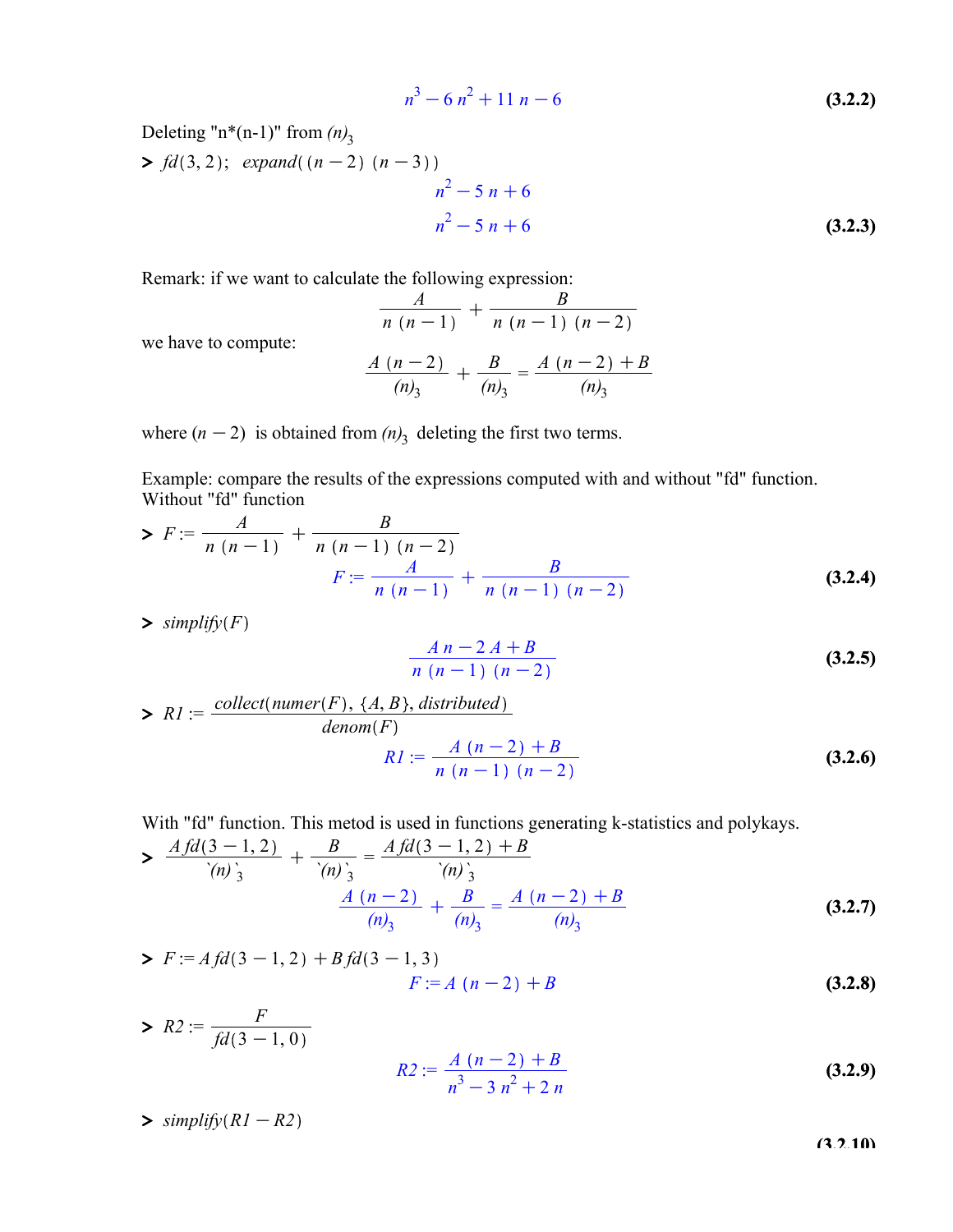$$
n^3 - 6n^2 + 11n - 6
$$
 (3.2.2)

Deleting "n\*(n-1)" from  $(n)$ <sub>3</sub>

(3.2.3)  $> fd(3,2); expand((n-2) (n-3)$  $n^2 - 5n + 6$  $n^2 - 5n + 6$ 

Remark: if we want to calculate the following expression:

$$
\frac{A}{n (n-1)} + \frac{B}{n (n-1) (n-2)}
$$

$$
\frac{A (n-2)}{(n_3)} + \frac{B}{(n_3)} = \frac{A (n-2) + B}{(n_3)}
$$

we have to compute:

where  $(n-2)$  is obtained from  $(n)$ <sub>3</sub> deleting the first two terms.

Example: compare the results of the expressions computed with and without "fd" function. Without "fd" function

> 
$$
F := \frac{A}{n(n-1)} + \frac{B}{n(n-1)(n-2)}
$$
  

$$
F := \frac{A}{n(n-1)} + \frac{B}{n(n-1)(n-2)}
$$
(3.2.4)

 $\sum$  simplify(F)

$$
\frac{A n - 2 A + B}{n (n - 1) (n - 2)}
$$
 (3.2.5)

> 
$$
RI := \frac{\text{collect}(\text{numer}(F), \{A, B\}, \text{distributed})}{\text{denom}(F)}
$$
  
 $RI := \frac{A(n-2) + B}{n(n-1)(n-2)}$  (3.2.6)

With "fd" function. This metod is used in functions generating k-statistics and polykays.

> 
$$
\frac{A f d (3-1,2)}{(n)_{3}^{2}} + \frac{B}{(n)_{3}^{2}} = \frac{A f d (3-1,2) + B}{(n)_{3}^{2}} + \frac{B}{(n)_{3}} = \frac{A (n-2) + B}{(n)_{3}}
$$
(3.2.7)

> 
$$
F := Afd(3-1,2) + Bfd(3-1,3)
$$
  
 $F := A(n-2) + B$  (3.2.8)

> 
$$
R2 := \frac{F}{fd(3-1, 0)}
$$
  

$$
R2 := \frac{A(n-2) + B}{n^3 - 3n^2 + 2n}
$$
 (3.2.9)

 $\sum$  simplify  $\left(RI - R\right)$ 

(3.2.10)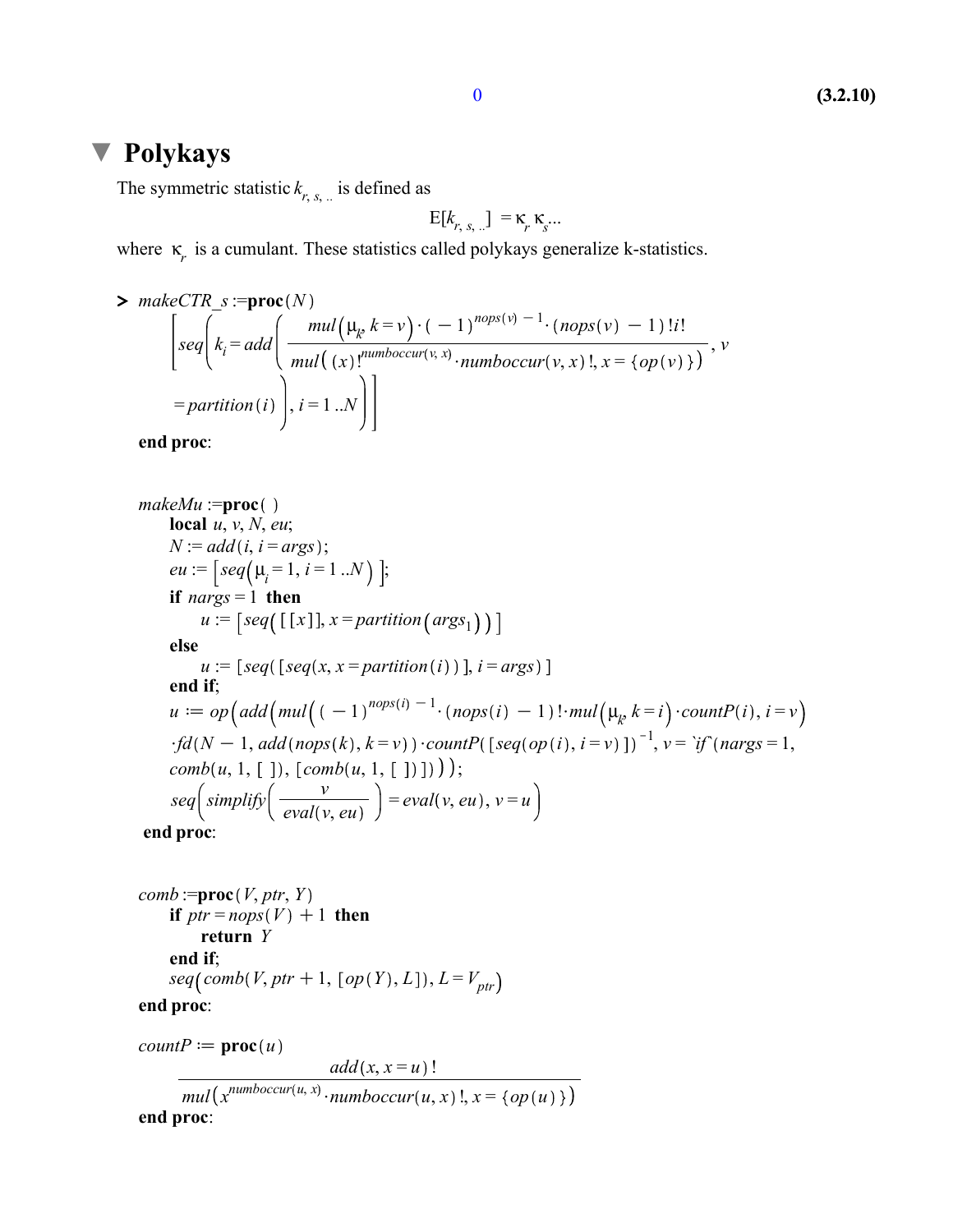#### Polykays

The symmetric statistic  $k_{r, s, \dots}$  is defined as

$$
E[k_{r, s, \ldots}] = \kappa_r \kappa_s \ldots
$$

where  $\kappa$ <sub>r</sub> is a cumulant. These statistics called polykays generalize k-statistics.

> 
$$
\sum_{i=1}^{n} make \text{CTR}_s := \text{proc}(N)
$$
\n
$$
\begin{bmatrix}\n\text{seq}\n\end{bmatrix}\n\begin{bmatrix}\n\text{seq}\n\end{bmatrix}\n\begin{bmatrix}\n\text{real}\n\end{bmatrix}\n\begin{bmatrix}\n\text{mul}\n\end{bmatrix}\n\begin{bmatrix}\n\text{val}\n\end{bmatrix}\n\begin{bmatrix}\n\text{val}\n\end{bmatrix}\n\begin{bmatrix}\n\text{num}boc \text{cur}(v, x) \cdot \text{num}boc \text{cur}(v, x) \cdot \text{num}boc \text{cur}(v, x)\n\end{bmatrix},\n\text{val} = partition(i)\n\end{bmatrix},\n\text{val} = 1..N
$$

end proc:

 $makeMu := \text{proc}()$ local  $u, v, N, eu;$  $N := add(i, i = args);$  $eu := \left[ seq(\mu_i = 1, i = 1..N) \right];$ if  $nargs = 1$  then  $u := [seq([x]], x = partition(args_1))]$ else  $u := [seq([seq(x, x = partition(i))], i = args)]$ end if;  $u := op\left(\text{add}\left(\text{mul}\left(-1\right)^{\text{nops}(i)}\right)^{-1} \cdot \left(\text{nops}(i) - 1\right)\right) \cdot \text{mul}\left(\mu_k k = i\right) \cdot \text{countP}(i), i = v$  $\cdot fd(N-1, add(nops(k), k=v)) \cdot countP(\left[seq(op(i), i=v) \right])^{-1}, v = \text{if}(nargs=1,$  $comb(u, 1, [])$ ,  $[comb(u, 1, [])$ ));  $seq\left( \text{simply}\left( \frac{v}{\text{eval}(v, eu)} \right) = \text{eval}(v, eu), v = u$ 

end proc:

comb := **proc**(*V*, *ptr*, *Y*)

\nif 
$$
ptr = nops(V) + 1
$$
 then

\nreturn *Y*

\nend if;

\n $seq(comb(V,ptr+1, [op(Y), L]), L = V_{ptr})$ 

\nand **proc**:

end proc:

 $countP := \text{proc}(u)$ 

 $add(x, x = u)$ !  $mul(x^{number(u, x)} \cdot number(c(u, x))$ ,  $x = \{op(u)\}\}$ end proc: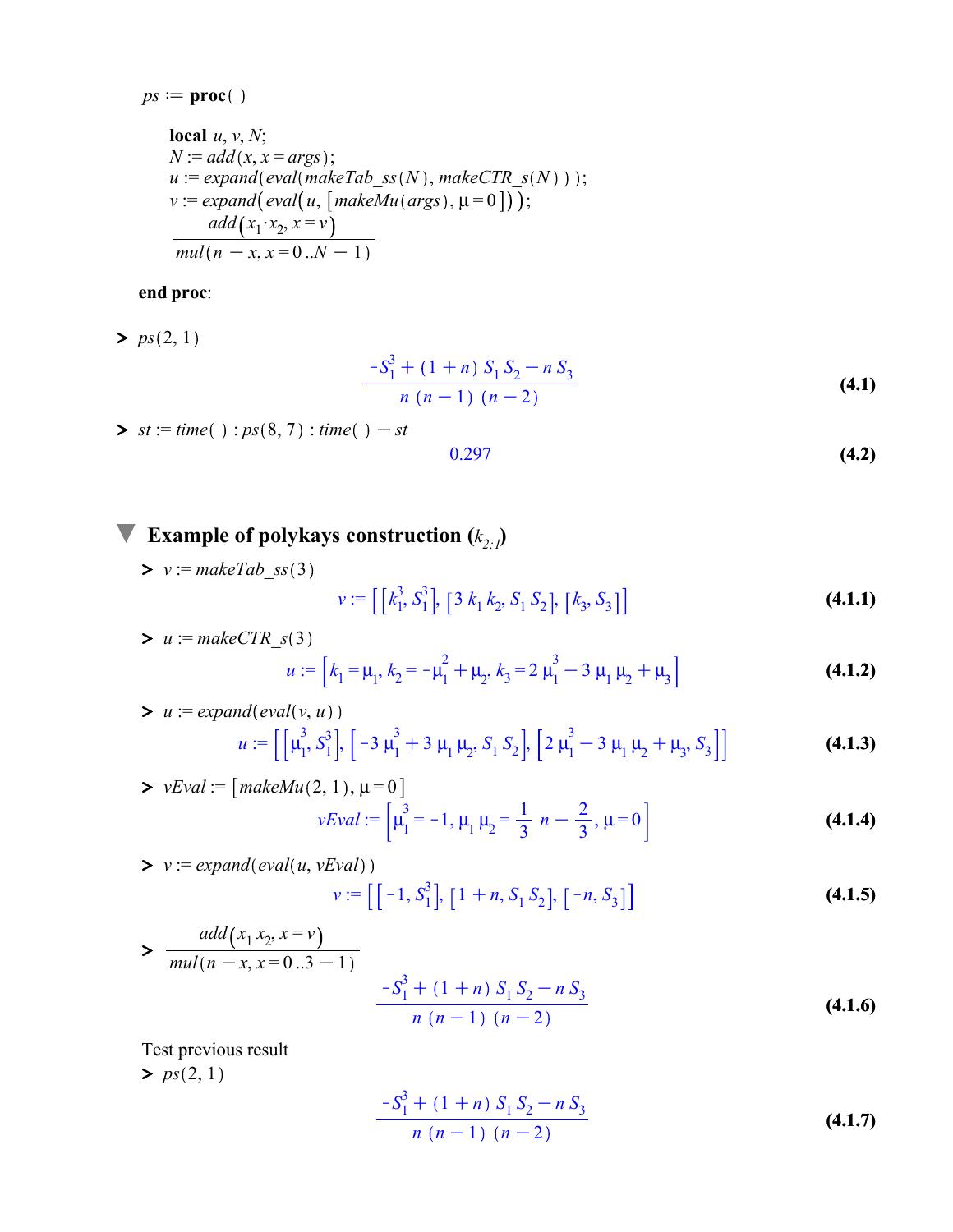$$
ps := \mathbf{proc}()
$$

local *u*, *v*, *N*;  
\n*N* := 
$$
add(x, x = args)
$$
;  
\n*u* :=  $expand(eval(makeTab_s s(N), makeCTR_s(N)))$ );  
\n*v* :=  $expand(eval(u, [makeMu(args), \mu = 0]))$ ;  
\n $add(x_1 \cdot x_2, x = v)$   
\n $mul(n - x, x = 0..N - 1)$ 

#### end proc:

 $> ps(2, 1)$ 

$$
\frac{-S_1^3 + (1+n) S_1 S_2 - n S_3}{n (n-1) (n-2)}
$$
\n(4.1)

 $\triangleright$  st := time() : ps(8,7) : time() - st

$$
0.297 \tag{4.2}
$$

#### Example of polykays construction  $(k_{2i})$

 $\triangleright$   $v :=$  makeTab\_ss(3) (4.1.1)  $v := \left[ \left[ k_1^3, S_1^3 \right], \left[ 3 \right. k_1 \, k_2, S_1 \, S_2 \right], \left[ k_3, S_3 \right]$ 

> 
$$
u := \text{makeCTR}_S(3)
$$
  
\n
$$
u := [k_1 = \mu_1, k_2 = -\mu_1^2 + \mu_2, k_3 = 2\mu_1^3 - 3\mu_1\mu_2 + \mu_3]
$$
\n(4.1.2)

> 
$$
u := \text{expand}(\text{eval}(v, u))
$$
  
\n
$$
u := [ \left[ \mu_1^3, S_1^3 \right], \left[ -3 \mu_1^3 + 3 \mu_1 \mu_2, S_1 S_2 \right], \left[ 2 \mu_1^3 - 3 \mu_1 \mu_2 + \mu_3, S_3 \right] ]
$$
\n(4.1.3)

> vEval := 
$$
\left[ \text{makeMu}(2, 1), \mu = 0 \right]
$$
  
\n
$$
vEval := \left[ \mu_1^3 = -1, \mu_1 \mu_2 = \frac{1}{3} n - \frac{2}{3}, \mu = 0 \right]
$$
\n(4.1.4)

> 
$$
v := expand(\text{eval}(u, vEval))
$$
  
 $v := [[-1, S_1^3], [1 + n, S_1 S_2], [-n, S_3]]$  (4.1.5)

> 
$$
\frac{add(x_1 x_2, x = v)}{mul(n - x, x = 0..3 - 1)}
$$
  

$$
\frac{-S_1^3 + (1 + n) S_1 S_2 - n S_3}{n (n - 1) (n - 2)}
$$
 (4.1.6)

Test previous result

 $> ps(2, 1)$ 

$$
\frac{-S_1^3 + (1+n) S_1 S_2 - n S_3}{n (n-1) (n-2)}
$$
\n(4.1.7)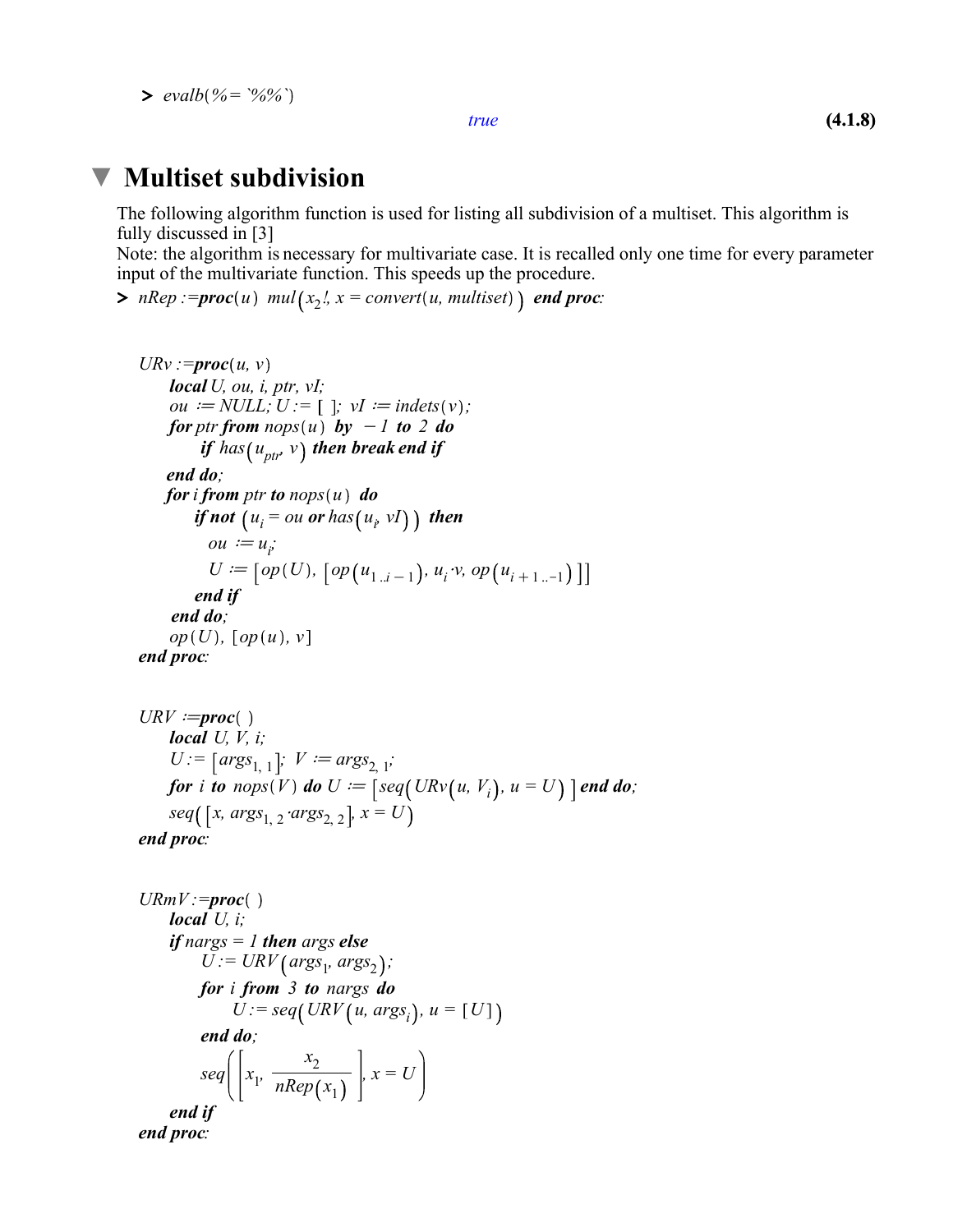$> \text{evalb}(% = \frac{6}{6})$ 

true

#### Multiset subdivision  $\blacktriangledown$

The following algorithm function is used for listing all subdivision of a multiset. This algorithm is fully discussed in [3]

Note: the algorithm is necessary for multivariate case. It is recalled only one time for every parameter input of the multivariate function. This speeds up the procedure.

>  $nRep := \text{proc}(u) \text{ mul}(x_2^t, x = \text{convert}(u, \text{multiset}))$  and proc:

```
URv := \text{proc}(u, v)local U, ou, i, ptr, vI;
    ou := NULL; U := [ ]; vI := indets (v);
    for ptr from nops(u) by -1 to 2 do
         if has (u_{ptr}, v) then break end if
     end do; 
    for i from ptr to nops(u) do
if not \left(u_i = \text{ou} \text{ or } \text{ has} \left(u_i \text{ vI}\right)\right) then
ou := u_iU := [\,op(U),\,\,[\,op(u_{1..i-1}),\,u_i\,\cdot v,\,op(u_{i+1}...)] end if
      end do;
    op(U), [op(u), v]end proc:
```

```
URV := \text{proc}()local U, V, i;
     U := [args_{1, 1}]; \ V := args_{2, 1};for i to nops(V) do U := \int \text{seq}(URv(u, V_i), u = U) \cdot \text{end do};seq( [x, args_{1, 2} 'args_{2, 2} ], x = U)
end proc:
```

```
U R m V := \text{proc}()local U_i;
     if nargs = 1 then args else
            U := \text{URV}\left(\text{args}_1, \text{args}_2\right);
          for i from 3 to nargs do
                 \ddot{U}: = seq(URV(u, args<sub>i</sub>), u = [U]
           end do;
            seq \Big[ \Big| x_1, \frac{x_2}{nRen} \Big]nRep(x_1), x = Uend if
end proc:
```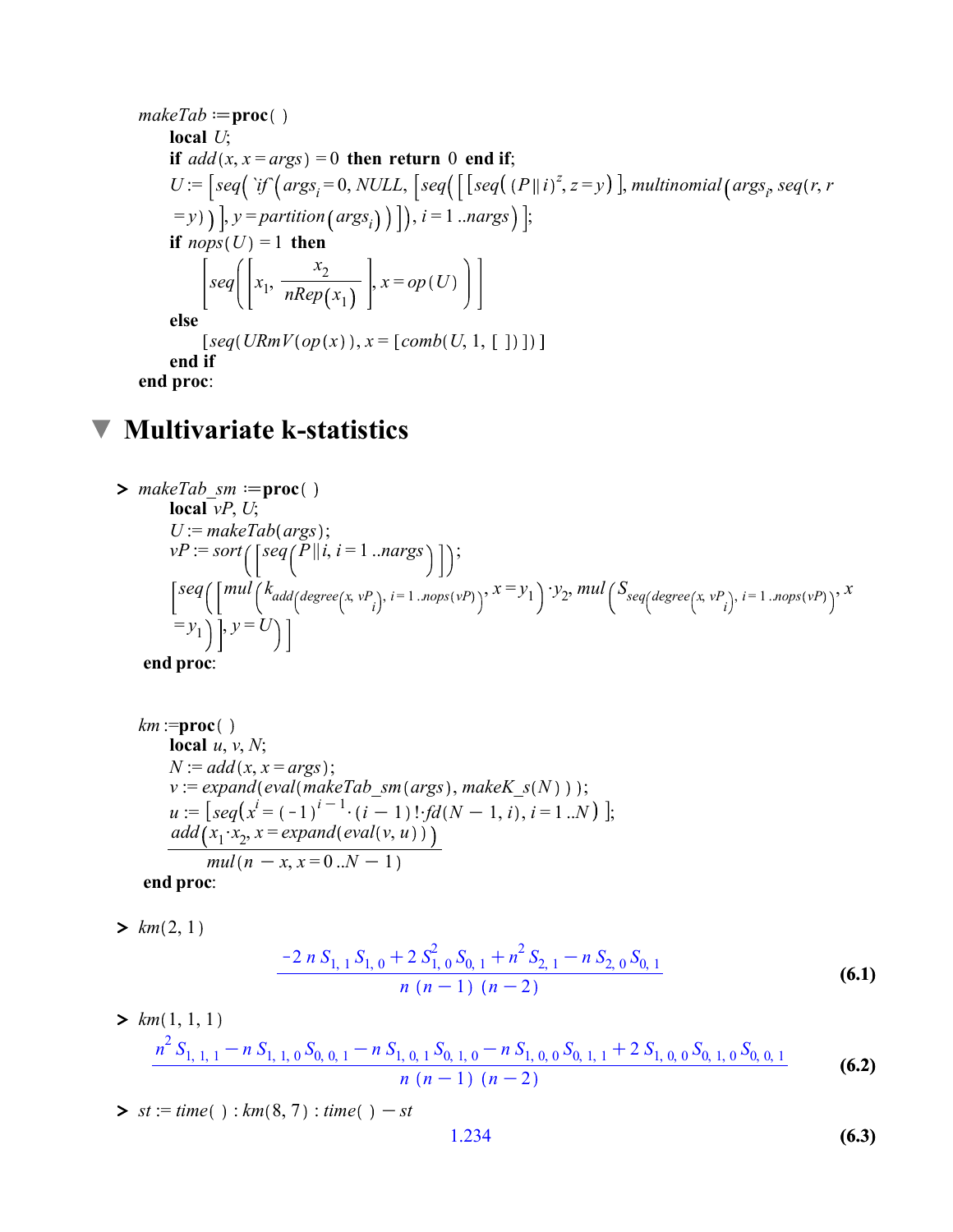makeTab := proc()  
\nlocal U;  
\nif add(x, x = args) = 0 then return 0 end if;  
\nU := [seq('if' (args<sub>i</sub> = 0, NULL, [seq([[seq((P||i)<sup>z</sup>, z = y)], multinomial(args<sub>i</sub>, seq(r, r  
\n= y))], y = partition(args<sub>i</sub>))]), i = 1...args)];  
\nif nops(U) = 1 then  
\n
$$
[seq([x1, \frac{x2}{nRep(x1)}], x = op(U)]
$$
\nelse  
\n[seq(URmV(op(x)), x = [comb(U, 1, [ ]) ])]  
\nend if  
\nend proc:

## $\nabla$  Multivariate k-statistics

> *makeTab\_sm* := **proc**( )  
\n**local** *vP*, *U*;  
\n*U* := *makeTab(args* );  
\n*vP* := *sort* (
$$
\left[ seq(P \mid i, i = 1 \ldots nargs) \right]
$$
 );  
\n $\left[ seq(\left[ mul\left(k_{add(degree(x, vP_i), i = 1 \ldots nops(vP))}, x = y_1 \right) \cdot y_2, mul\left(S_{seq(degree(x, vP_i), i = 1 \ldots nops(vP))}, x \right] \cdot y = U \right) \right]$ 

end proc:

 $km := \text{proc}()$ local  $u, v, N$ ;  $N := add(x, x = args);$  $v := expand(eval(makeTab_sm(args),makeK_s(N)));$  $u := [seq(x^{i} = (-1)^{i-1} \cdot (i-1)! \cdot fd(N-1, i), i = 1..N)]$ ;  $add(x_1 \cdot x_2, x = expand(\text{eval}(v, u)))$  $\frac{mul(n - x, x = 0..N - 1)}{mul(n - x, x = 0..N - 1)}$ end proc:

 $> km(2, 1)$ 

$$
\frac{-2 n S_{1,1} S_{1,0} + 2 S_{1,0}^2 S_{0,1} + n^2 S_{2,1} - n S_{2,0} S_{0,1}}{n (n-1) (n-2)}
$$
(6.1)

> 
$$
km(1, 1, 1)
$$
  
\n
$$
\frac{n^2 S_{1, 1, 1} - n S_{1, 1, 0} S_{0, 0, 1} - n S_{1, 0, 1} S_{0, 1, 0} - n S_{1, 0, 0} S_{0, 1, 1} + 2 S_{1, 0, 0} S_{0, 1, 0} S_{0, 0, 1}}{n (n - 1) (n - 2)}
$$
\n(6.2)

 $\sum$  st := time() : km(8,7) : time() - st

$$
1.234 \tag{6.3}
$$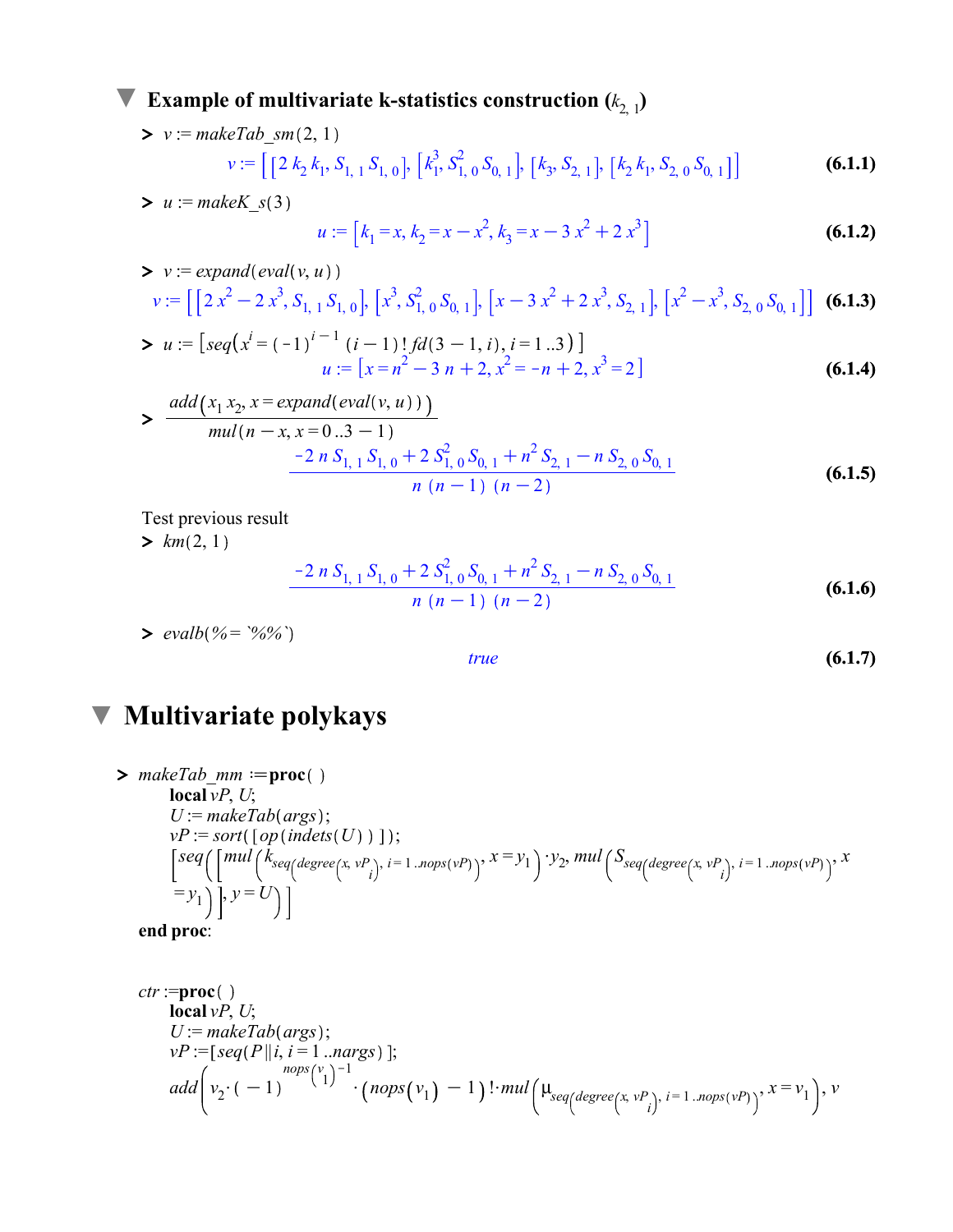### **Example of multivariate k-statistics construction**  $(k_{2, 1})$

> 
$$
v := \text{makeTab\_sm}(2, 1)
$$
  
\n $v := \left[ \left[ 2 k_2 k_1, S_{1, 1} S_{1, 0} \right], \left[ k_1^3, S_{1, 0}^2 S_{0, 1} \right], \left[ k_3, S_{2, 1} \right], \left[ k_2 k_1, S_{2, 0} S_{0, 1} \right] \right]$  (6.1.1)  
\n>  $u := \text{makeK\_s}(3)$ 

 $(6.1.2)$  $u := [k_1 = x, k_2 = x - x^2, k_3 = x - 3x^2 + 2x^3$ 

> 
$$
v :=
$$
 expand $(eval(v, u))$   
\n $v := [\left[2x^2 - 2x^3, S_{1, 1} S_{1, 0}\right], \left[x^3, S_{1, 0}^2 S_{0, 1}\right], \left[x - 3x^2 + 2x^3, S_{2, 1}\right], \left[x^2 - x^3, S_{2, 0} S_{0, 1}\right]]$  (6.1.3)

> 
$$
u := [seq(x^{i} = (-1)^{i-1} (i-1)!fd(3-1, i), i = 1..3)]
$$
  
\n $u := [x = n^{2} - 3n + 2, x^{2} = -n + 2, x^{3} = 2]$  (6.1.4)

$$
\frac{add(x_1x_2, x = expandeval(v, u)))}{mul(n - x, x = 0..3 - 1)}
$$
  

$$
\frac{-2 n S_{1, 1} S_{1, 0} + 2 S_{1, 0}^2 S_{0, 1} + n^2 S_{2, 1} - n S_{2, 0} S_{0, 1}}{n (n - 1) (n - 2)}
$$
(6.1.5)

Test previous result

 $> \lim_{m(2, 1)}$ 

$$
\frac{-2 n S_{1,1} S_{1,0} + 2 S_{1,0}^2 S_{0,1} + n^2 S_{2,1} - n S_{2,0} S_{0,1}}{n (n-1) (n-2)}
$$
(6.1.6)

 $> \text{evalb}(% = \frac{6}{6})$ 

$$
(6.1.7)
$$

# **V** Multivariate polykays

$$
\sum_{\text{makeTab\_mm}} \text{indexTab}(\text{args})
$$
\n
$$
U := \text{makeTab}(\text{args});
$$
\n
$$
vP := \text{sort}(\{op(\text{index}(U))\})
$$
\n
$$
\left[\text{seq}\left(\left[\text{mul}\left(\text{kg}_{\text{seq}}(\text{degree}(x, v_{i}), i=1\ldots\text{rops}(v))\right), x = y_{1}\right) \cdot y_{2}, \text{mul}\left(\text{S}_{\text{seq}}(\text{degree}(x, v_{i}), i=1\ldots\text{rops}(v))\right), x = y_{1}\right)\right], y = U
$$

true

end proc:

$$
ctr := \text{proc}()
$$
  
\n
$$
U := \text{makeTab}(\text{args});
$$
  
\n
$$
vP := [\text{seq}(P || i, i = 1 \dots \text{args})];
$$
  
\n
$$
\text{add} \left( v_2 \cdot (-1)^{\text{nops}(v_1) - 1} \cdot (\text{nops}(v_1) - 1) \cdot \text{mul} \left( \mu_{\text{seq}(\text{degree}(x, v_{i}), i = 1 \dots \text{nops}(v_{i}))}, x = v_1 \right), v
$$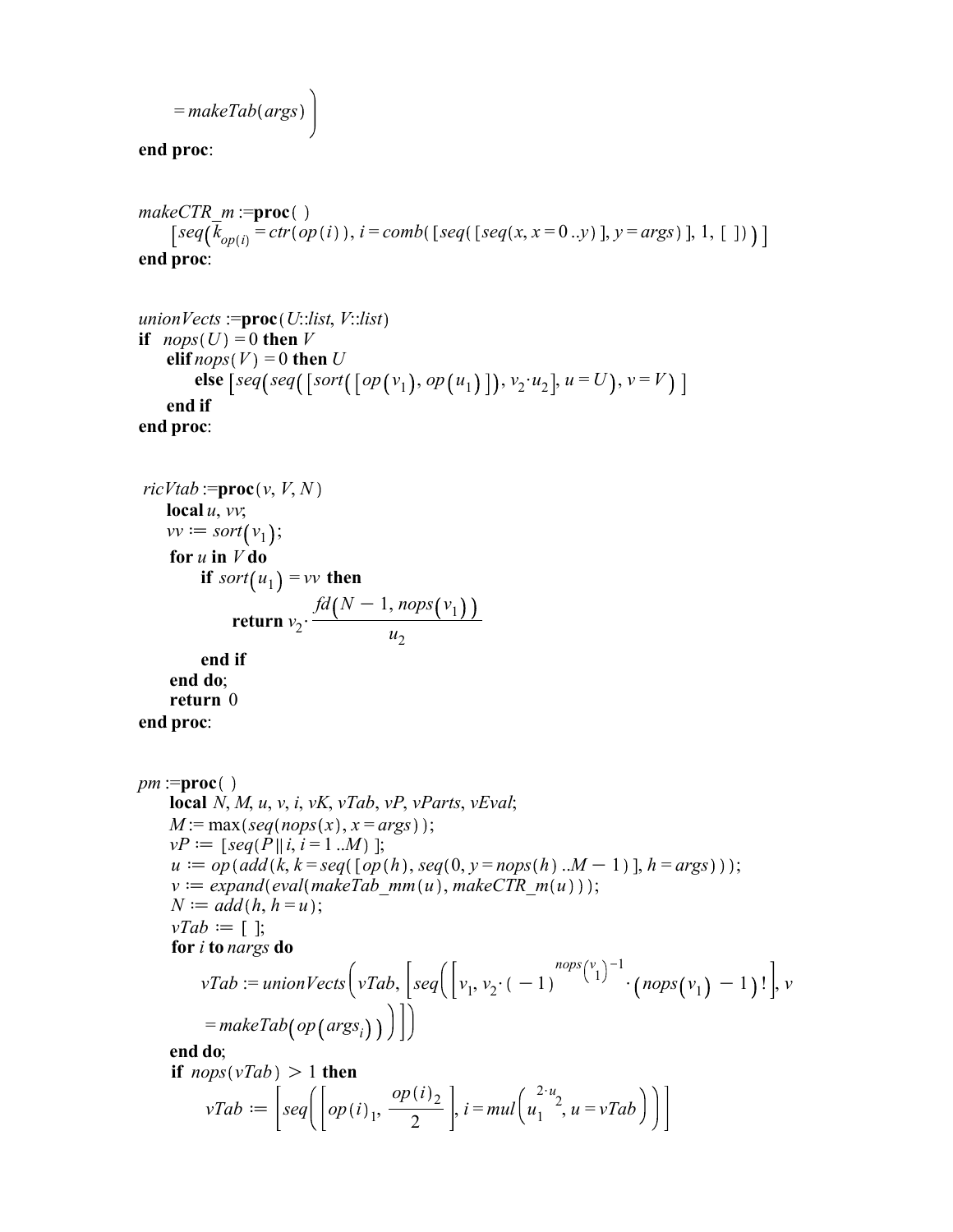$$
= makeTab(args)
$$

end proc:

```
makeCTR m :=proc()
      \left[ \text{seq}(k_{\text{opt}(i)} = \text{ctr}(\text{op}(i)), i = \text{comb}(\text{[seq(x, x = 0..y)], y = \text{args})], 1, [\ ] ) \right)end proc:
```

```
union Vects :=\mathbf{proc}(U::list, V::list)if nops(U) = 0 then V
    elif nops(V) = 0 then U
else \lceil seq(seq(\lceil sort(\lceil op(v_1), op(u_1) \rceil), v_2 \cdot u_2 \rceil, u = U), v = V end if
end proc:
```

```
ricVtab := \textbf{proc}(v, V, N)local u, vv;vv := sort(v_1);for u in V do
        if sort(u_1) = vv then
              return v_2 \cdot \frac{fd(N-1, nops(v_1))}{u}u_2end if
    end do;
    return 0
```

```
end proc:
```

```
pm :=proc()local N, M, u, v, i, vK, vTab, vP, vParts, vEval;M := \max(\text{seq}(\text{nops}(x), x = \text{args}));
     vP := [seq(P || i, i = 1 ... M) ];u := op(\text{add}(k, k = \text{seq}(\lceil op(h), \text{seq}(0, y = \text{nops}(h) \dots M - 1))), h = \text{args}));
     v := expand (eval(makeTab-mm (u), makeCTRm (u) ));N := add(h, h = u);vTab := [ ;
     for i to nargs do
           vTab := unionVectors \Big( vTab, \Big| seq \Big( \Big| v_1, v_2 \cdot (-1) \Big)\binom{nops(v_1)^{-1}}{(nops(v_1)-1)!}, v
           =makeTab(op(args<sub>i</sub>))\Big|\Big|
```

```
end do;
if nops(vTab) > 1 then
          vTab := \s\left[\text{seq}\right]\left[\text{op}(i)_1, \frac{\text{op}(i)_2}{2}\right]\left(\frac{i}{2}\right), i = mul\left(u_1^{2\cdot u_2}, u = vTab\right)
```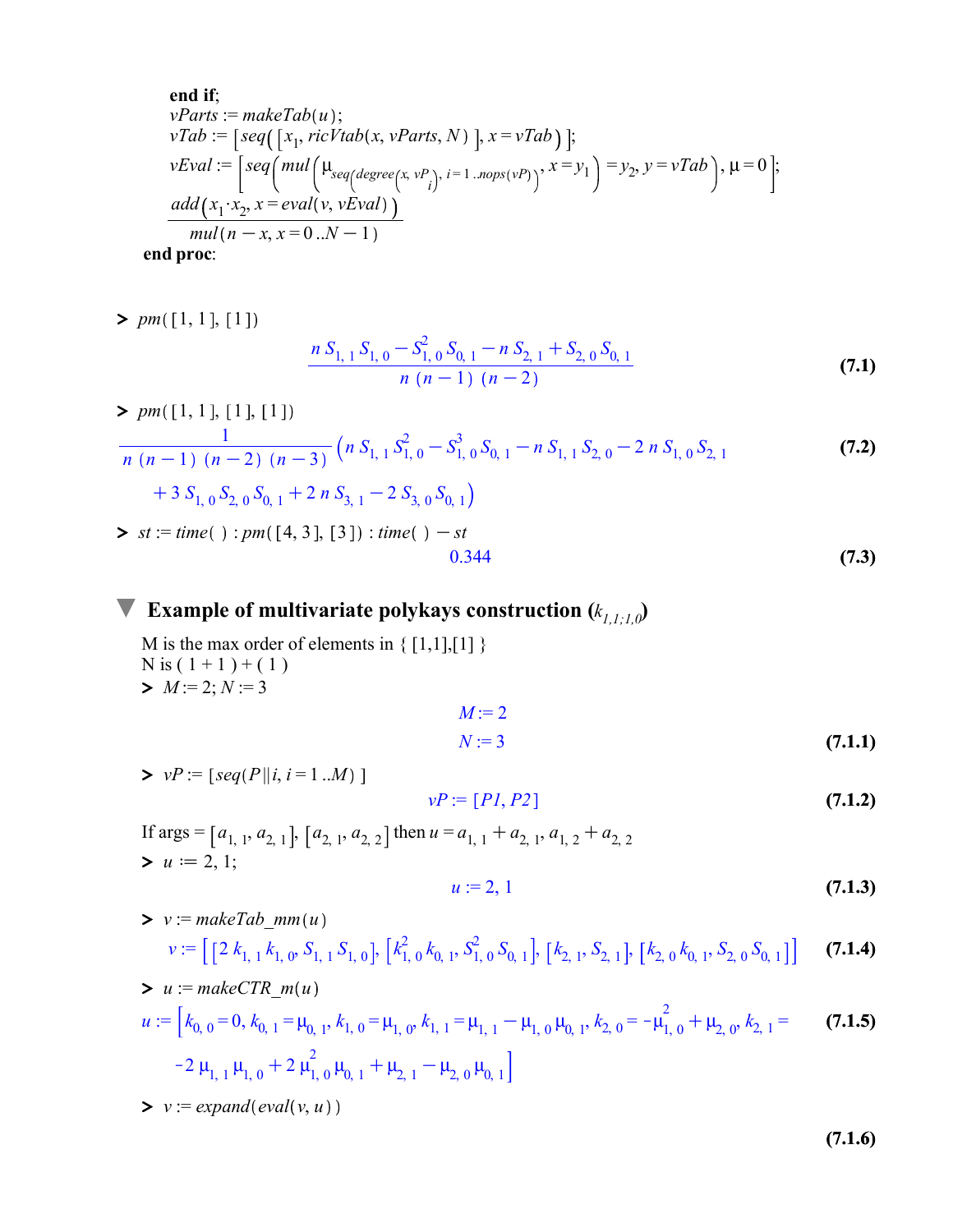end if;  
\n
$$
vParts := makeTab(u);
$$
\n
$$
vTab := [seq([x_1, ricVtab(x, vParts, N) ], x = vTab) ];
$$
\n
$$
vEval := [seq(mul(\mu_{seq(degree(x, v_i), i=1..nops(v_i))}, x = y_1) = y_2, y = vTab), \mu = 0];
$$
\n
$$
\frac{add(x_1 \cdot x_2, x = eval(v, vEval))}{mul(n - x, x = 0..N - 1)}
$$
\nend proc:

 $> pm([1, 1], [1])$ 

$$
\frac{n S_{1,1} S_{1,0} - S_{1,0}^2 S_{0,1} - n S_{2,1} + S_{2,0} S_{0,1}}{n (n-1) (n-2)}
$$
\n(7.1)

> 
$$
pm([1, 1], [1], [1])
$$
  
\n
$$
\frac{1}{n (n-1) (n-2) (n-3)} (n S_{1,1} S_{1,0}^2 - S_{1,0}^3 S_{0,1} - n S_{1,1} S_{2,0} - 2 n S_{1,0} S_{2,1}
$$
\n
$$
+ 3 S_{1,0} S_{2,0} S_{0,1} + 2 n S_{3,1} - 2 S_{3,0} S_{0,1})
$$
\n>st := time( ) :  $pm([4, 3], [3]) : time( ) - st$ \n
$$
0.344
$$
\n(7.3)

#### Example of multivariate polykays construction  $(k_{I,I;I,0})$

 $> M := 2; N := 3$ M is the max order of elements in  $\{ [1,1], [1] \}$  $N$  is  $(1+1)+(1)$ 

$$
M := 2
$$
  

$$
N := 3
$$
 (7.1.1)

$$
vP := [P1, P2] \tag{7.1.2}
$$

 $> u := 2, 1;$ If args =  $[a_{1, 1}, a_{2, 1}]$ ,  $[a_{2, 1}, a_{2, 2}]$  then  $u = a_{1, 1} + a_{2, 1}$ ,  $a_{1, 2} + a_{2, 2}$ 

$$
u := 2, 1 \tag{7.1.3}
$$

- $\triangleright$   $v :=$  makeTab\_mm(u) (7.1.4)  $v := \left[\right[2 k_{1,1} k_{1,0}, S_{1,1} S_{1,0}\right], \left[k_{1,0}^2 k_{0,1}, S_{1,0}^2 S_{0,1}\right], \left[k_{2,1}, S_{2,1}\right], \left[k_{2,0} k_{0,1}, S_{2,0} S_{0,1}\right]\right]$
- $> u := makeCTR_m(u)$ (7.1.5)  $u := [k_{0, 0} = 0, k_{0, 1} = \mu_{0, 1}, k_{1, 0} = \mu_{1, 0}, k_{1, 1} = \mu_{1, 1} - \mu_{1, 0} \mu_{0, 1}, k_{2, 0} = -\mu_{1, 0}^2 + \mu_{2, 0}, k_{2, 1} =$  $-2 \mu_{1, 1} \mu_{1, 0} + 2 \mu_{1, 0}^2 \mu_{0, 1} + \mu_{2, 1} - \mu_{2, 0} \mu_{0, 1}$

 $\triangleright$   $v := expand(eval(v, u))$ 

 $> vP := [seq(P || i, i = 1 ... M)]$ 

(7.1.6)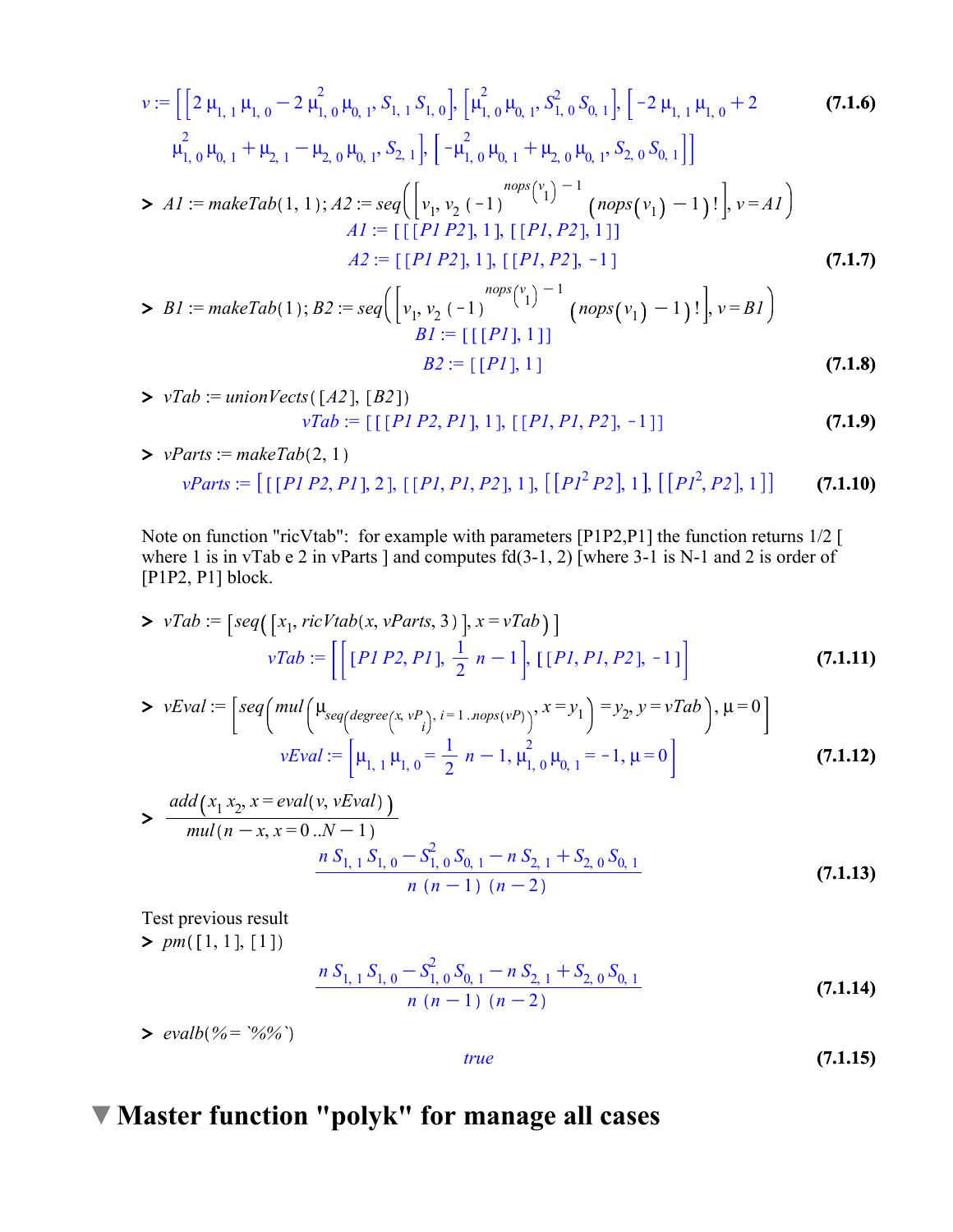$$
v := \left[ \left[ 2 \mu_{1,1} \mu_{1,0} - 2 \mu_{1,0}^2 \mu_{0,1}, S_{1,1} S_{1,0} \right], \left[ \mu_{1,0}^2 \mu_{0,1}, S_{1,0}^2 S_{0,1} \right], \left[ -2 \mu_{1,1} \mu_{1,0} + 2 \right] \right]
$$
\n(7.1.6)  
\n
$$
\mu_{1,0}^2 \mu_{0,1} + \mu_{2,1} - \mu_{2,0} \mu_{0,1}, S_{2,1} \right], \left[ -\mu_{1,0}^2 \mu_{0,1} + \mu_{2,0} \mu_{0,1}, S_{2,0} S_{0,1} \right]
$$
\n
$$
> AI := makeTab(1,1); A2 := seq \left( \left[ v_1, v_2 \left( -1 \right)^{nops(v_1)} \right]^{-1} \left( nops(v_1) - 1 \right) ! \right], v = AI \right)
$$
\n
$$
AI := \left[ \left[ \left[ PI \, P2 \right], 1 \right], \left[ \left[ PI, P2 \right], 1 \right] \right]
$$
\n
$$
A2 := \left[ \left[ PI \, P2 \right], 1 \right], \left[ \left[ PI, P2 \right], -1 \right]
$$
\n(7.1.7)  
\n
$$
BI := makeTab(1); B2 := seq \left( \left[ v_1, v_2 \left( -1 \right)^{nops(v_1)} \right]^{-1} \left( nops(v_1) - 1 \right) ! \right], v = BI \right)
$$
\n(7.1.7)  
\n
$$
BI := \left[ \left[ \left[ PI \right], 1 \right] \right]
$$

$$
B2 := [[PI], 1]
$$
(7.1.8)  
> vTab := unionVects([A2], [B2])  

$$
vTab := [[[PI P2, PI], 1], [[PI, PI, P2], -1]]
$$
(7.1.9)

> 
$$
vParts := makeTab(2, 1)
$$
  
\n $vParts := [[[PI P2, PI], 2], [[PI, PI, P2], 1], [[PI2, P2], 1], [[PI2, P2], 1]]$  (7.1.10)

Note on function "ricVtab": for example with parameters [P1P2,P1] the function returns 1/2 [ where 1 is in vTab e 2 in vParts ] and computes fd(3-1, 2) [where 3-1 is N-1 and 2 is order of [P1P2, P1] block.

> vTab := 
$$
\left[ \text{seq}(\left[ x_1, \text{ricVtab}(x, vParts, 3) \right], x = vTab \right) \right]
$$
  
\n
$$
vTab := \left[ \left[ \left[ \text{PI } P2, \text{PI } \right], \frac{1}{2} \ n-1 \right], \left[ \left[ \text{PI}, \text{PI}, \text{P2 } \right], -1 \right] \right]
$$
\n(7.1.11)

> vEval := 
$$
\left[ \text{seq}\left( \text{mul}\left( \mu_{\text{seq}\left(\text{degree}\left(x, v_{i}\right), i=1 \ldots \text{rops}\left(v\right)\right)}, x = y_{1} \right) = y_{2}, y = vTab \right), \mu = 0 \right]
$$
  

$$
vEval := \left[ \mu_{1, 1} \mu_{1, 0} = \frac{1}{2} n - 1, \mu_{1, 0}^{2} \mu_{0, 1} = -1, \mu = 0 \right]
$$
(7.1.12)

> 
$$
\frac{add(x_1 x_2, x = eval(v, vEval))}{mul(n-x, x=0..N-1)}
$$
  

$$
\frac{n S_{1, 1} S_{1, 0} - S_{1, 0}^2 S_{0, 1} - n S_{2, 1} + S_{2, 0} S_{0, 1}}{n (n-1) (n-2)}
$$
 (7.1.13)

true

 $> \frac{1}{pm}([1, 1], [1])$ Test previous result

$$
\frac{n S_{1,1} S_{1,0} - S_{1,0}^2 S_{0,1} - n S_{2,1} + S_{2,0} S_{0,1}}{n (n-1) (n-2)}
$$
(7.1.14)

 $\blacktriangleright$  evalb(%= `%%`

$$
(7.1.15)
$$

### Master function "polyk" for manage all cases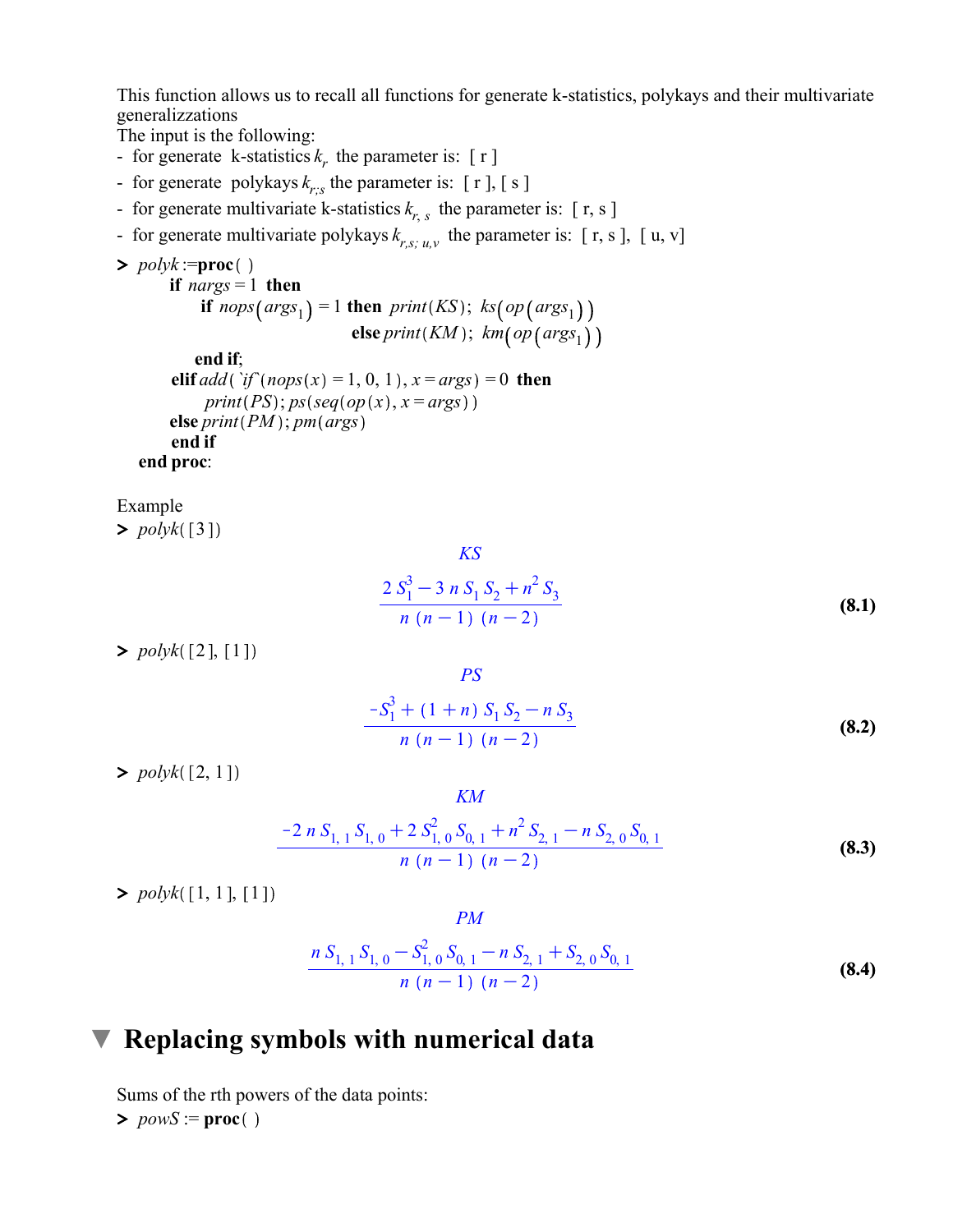This function allows us to recall all functions for generate k-statistics, polykays and their multivariate generalizzations

The input is the following:

- for generate k-statistics  $k_r$ , the parameter is: [ r ]
- for generate polykays  $k_{r;s}$  the parameter is: [ r ], [ s ]
- for generate multivariate k-statistics  $k_{r,s}$  the parameter is: [r, s]
- for generate multivariate polykays  $k_{r,s; u,v}$  the parameter is: [r, s], [u, v]

▶ polyk := proc( )

\nif 
$$
nargs = 1
$$
 then

\nif  $nops(args_1) = 1$  then  $print(KS)$ ;  $ks(op(args_1)$ 

\nelse  $print(KM)$ ;  $km(op(args_1)$ 

\nend if;

\nelif  $add('if(nops(x) = 1, 0, 1), x = args) = 0$  then

\n $print(PS)$ ;  $ps(seq(op(x), x = args))$ 

\nelse  $print(PM)$ ;  $pm(args)$ 

\nend if

\nend proc:

Example

 $\blacktriangleright$  polyk([3]

$$
\frac{KS}{2 \, S_1^3 - 3 \, n \, S_1 \, S_2 + n^2 \, S_3}
$$
\n
$$
\frac{2 \, S_1^3 - 3 \, n \, S_1 \, S_2 + n^2 \, S_3}{n \, (n-1) \, (n-2)}
$$
\n(8.1)

 $\gt polyk([2],[1])$ 

$$
\frac{PS}{-S_1^3 + (1+n) S_1 S_2 - n S_3}
$$
\n
$$
\frac{n (n-1) (n-2)}{n}
$$
\n(8.2)

 $\gt polyk([2, 1])$ 

$$
\frac{-2 n S_{1,1} S_{1,0} + 2 S_{1,0}^2 S_{0,1} + n^2 S_{2,1} - n S_{2,0} S_{0,1}}{n (n-1) (n-2)}
$$
\n(8.3)

KM

 $\gt polyk([1, 1], [1])$ 

$$
PM
$$
  

$$
n S_{1, 1} S_{1, 0} - S_{1, 0}^{2} S_{0, 1} - n S_{2, 1} + S_{2, 0} S_{0, 1}
$$
  

$$
n (n - 1) (n - 2)
$$
 (8.4)

### $\nabla$  Replacing symbols with numerical data

 $> powS := proc$ Sums of the rth powers of the data points: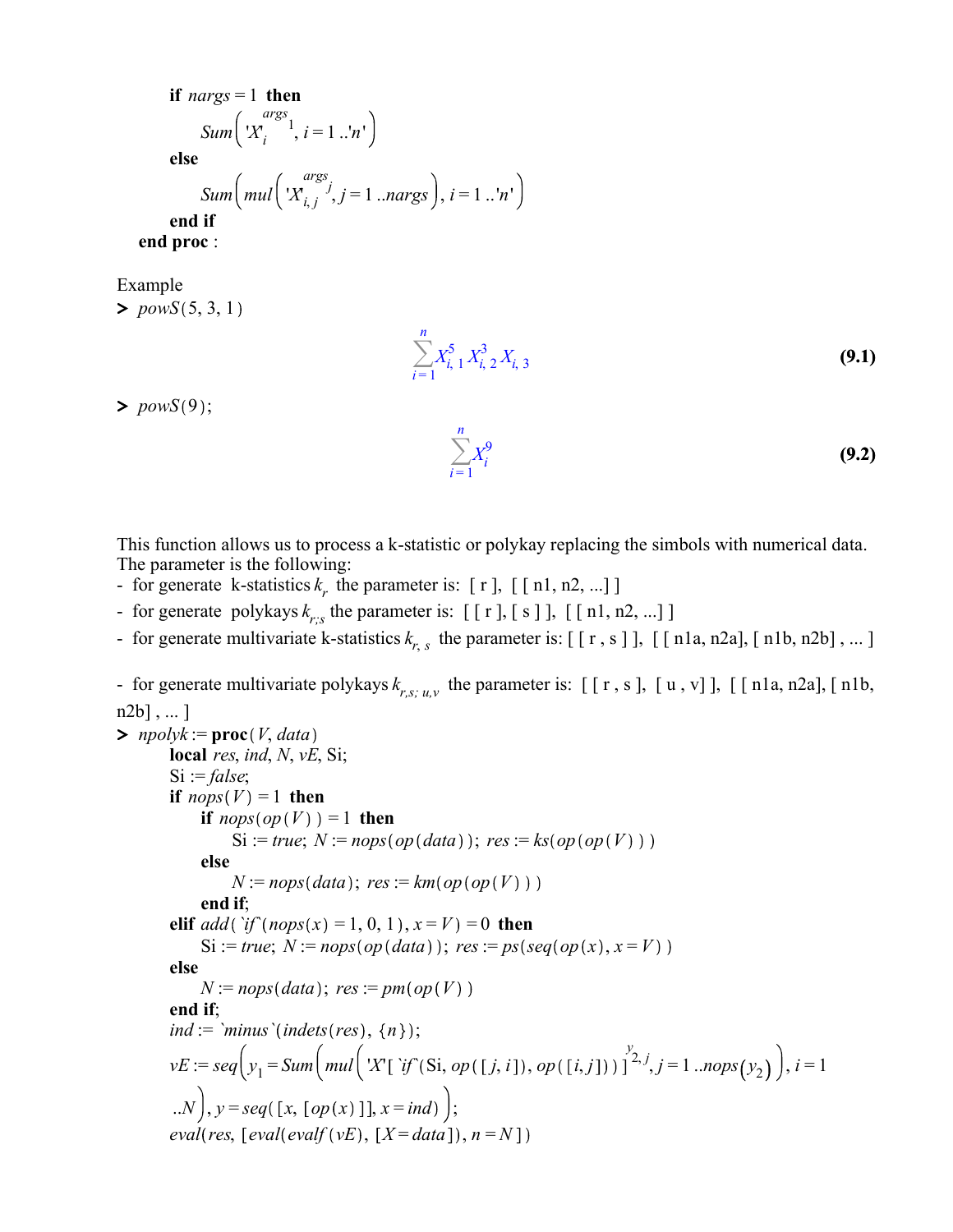if  $nargs = 1$  then Sum $\big\lfloor X_i$  $\int_{i}^{args} 1$ ,  $i = 1 ..'n'$ else Sum $\left(mul\right|X_{i,j}$  $\begin{cases} \text{args} \\ \text{if } j, j = 1 \text{ ...} \\ \text{args } \end{cases}$ ,  $i = 1 \text{ ... } n'$ end if end proc :

Example

 $> \overline{powS(5, 3, 1)}$ 



>  $powS(9);$ 



This function allows us to process a k-statistic or polykay replacing the simbols with numerical data. The parameter is the following:

- for generate k-statistics  $k_r$ , the parameter is: [ r ], [ [ n1, n2, ...] ]
- for generate polykays  $k_{r,s}$  the parameter is:  $[ [r], [s] ], [ [n1, n2, ...] ]$
- for generate multivariate k-statistics  $k_{r,s}$  the parameter is: [[r, s]], [[n1a, n2a], [n1b, n2b], ...]

- for generate multivariate polykays  $k_{r,s; u,v}$  the parameter is: [[r, s], [u, v]], [[n1a, n2a], [n1b,  $n2b$ ], ...

```
\text{p} npolyk := \text{proc}(V, data)local res, ind, N, vE, Si;
       Si := false;if nops(V) = 1 then
            if nops(op(V)) = 1 then
                Si := true; N := nops(op(data); res := ks(op(op(V))else
                N := nops(data); res: = km(op(op(V))end if;
       elif add (if (nops(x) = 1, 0, 1), x = V) = 0 then
            Si := true; N := nops(op(data)); res := ps(seq(op(x), x = V)else
            N := nops(data); res := pm(op(V))
       end if;
       ind := `minus `(indets(res), \{n\});
       vE := seq\left(y_1 = Sum\left(mul\left(\frac{Y}{i}\left[\hat{f}^*(S_i, op([j, i]), op([i, j])\right]\right)^{y_2}, j = 1...nops(y_2)\right), i = 1 \right)..N, y = seq([x, [op(x)]], x = ind);
       eval(res, [eval(evalf (vE), [X = data]), n = N])
```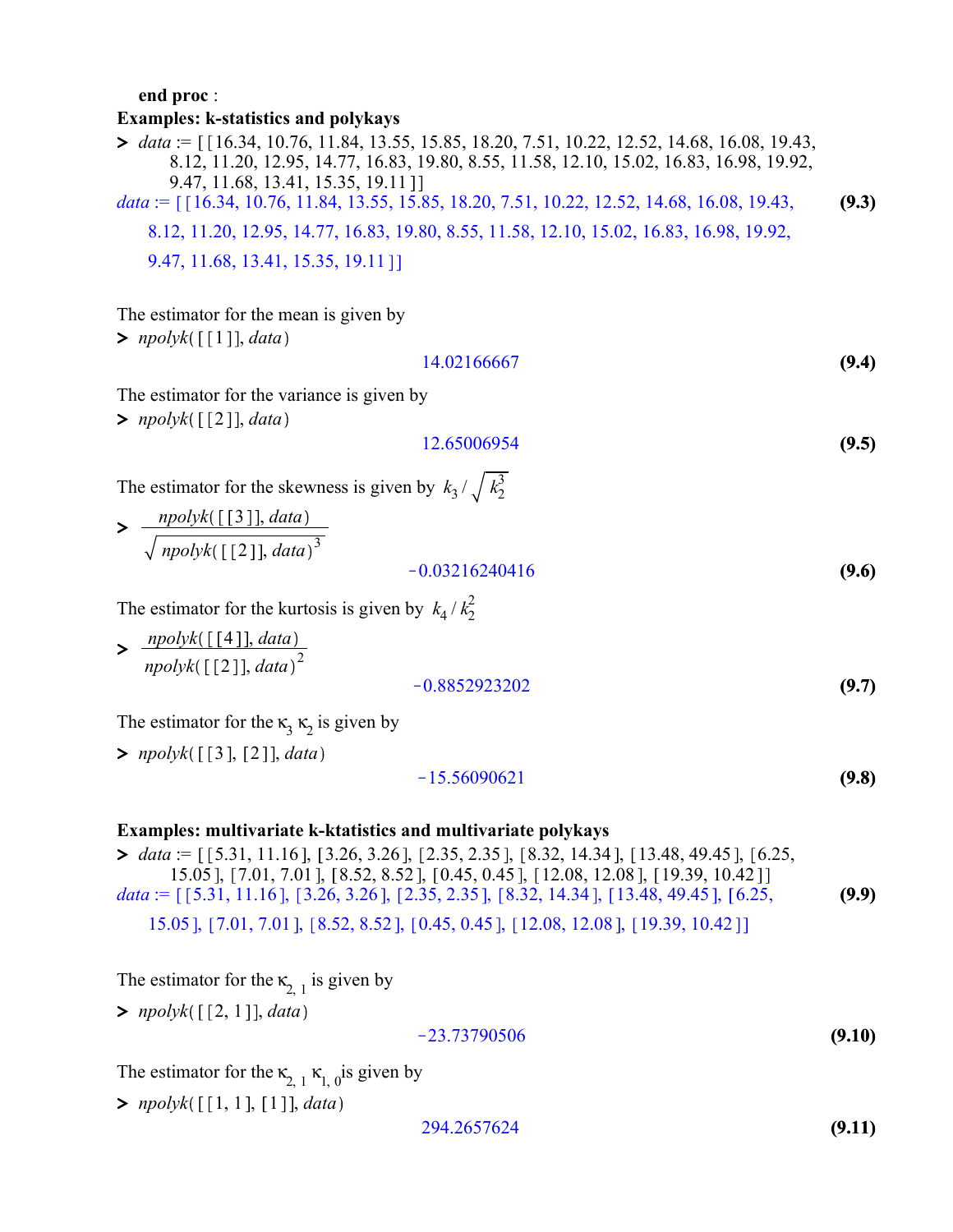#### end proc :

#### $\blacktriangleright$  data := [[16.34, 10.76, 11.84, 13.55, 15.85, 18.20, 7.51, 10.22, 12.52, 14.68, 16.08, 19.43, Examples: k-statistics and polykays

(9.3) 8.12, 11.20, 12.95, 14.77, 16.83, 19.80, 8.55, 11.58, 12.10, 15.02, 16.83, 16.98, 19.92, 9.47, 11.68, 13.41, 15.35, 19.11 data := [[16.34, 10.76, 11.84, 13.55, 15.85, 18.20, 7.51, 10.22, 12.52, 14.68, 16.08, 19.43,

8.12, 11.20, 12.95, 14.77, 16.83, 19.80, 8.55, 11.58, 12.10, 15.02, 16.83, 16.98, 19.92,

9.47, 11.68, 13.41, 15.35, 19.11

The estimator for the mean is given by

 $\text{polyk}([\text{[1]}], data)$ 

#### (9.4) 14.02166667

The estimator for the variance is given by

 $\text{polyk}([2], data)$ 

$$
12.65006954 \t\t (9.5)
$$

The estimator for the skewness is given by  $k_3 / \sqrt{k_2^3}$ 

> 
$$
\frac{npolyk([\, [3\,], data)}{\sqrt{npolyk([\, [2\,], data)^3}}
$$
  
-0.03216240416 (9.6)

The estimator for the kurtosis is given by  $k_4 / k_2^2$ 

> 
$$
\frac{npolyk(\text{[[4]], data)}}{npolyk(\text{[[2]], data)}^2}
$$
  
-0.8852923202

The estimator for the  $\kappa_3 \kappa_2$  is given by

 $\text{polyk}([3], [2]], data)$ 

$$
-15.56090621 \t\t (9.8)
$$

#### Examples: multivariate k-ktatistics and multivariate polykays

 $\blacktriangleright$  data := [[5.31, 11.16], [3.26, 3.26], [2.35, 2.35], [8.32, 14.34], [13.48, 49.45], [6.25, (9.9) 15.05 ], [7.01, 7.01 ], [8.52, 8.52 ], [0.45, 0.45 ], [12.08, 12.08 ], [19.39, 10.42 ]] data :=  $[5.31, 11.16]$ ,  $[3.26, 3.26]$ ,  $[2.35, 2.35]$ ,  $[8.32, 14.34]$ ,  $[13.48, 49.45]$ ,  $[6.25,$ 15.05 ], [7.01, 7.01 ], [8.52, 8.52 ], [0.45, 0.45 ], [12.08, 12.08 ], [19.39, 10.42 ]]

The estimator for the  $\kappa_{2, 1}$  is given by

 $\text{\textbf{p}}$  *npolyk*([[2, 1]], data

$$
-23.73790506 \t (9.10)
$$

The estimator for the  $\kappa_{2, 1} \kappa_{1, 0}$  is given by

 $>$  npolyk([[1, 1], [1]], data

$$
294.2657624 \t\t (9.11)
$$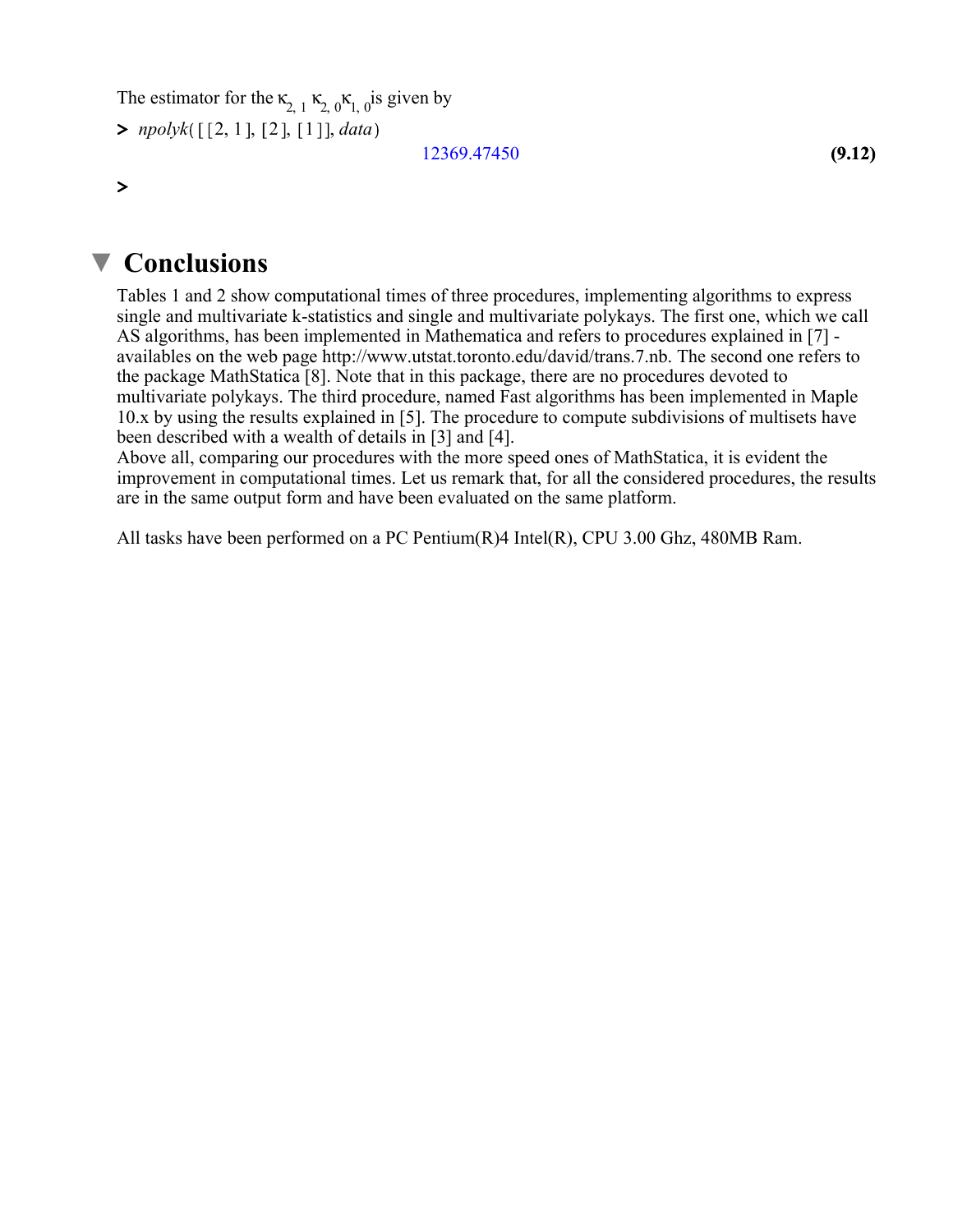The estimator for the  $\kappa_{2, 1} \kappa_{2, 0} \kappa_{1, 0}$  is given by

 $> npolyk([\lbrack 2, 1], \lbrack 2], \lbrack 1 \rbrack], data$ 

12369.47450

 $\geq$ 

## ▼ Conclusions

Tables 1 and 2 show computational times of three procedures, implementing algorithms to express single and multivariate k-statistics and single and multivariate polykays. The first one, which we call AS algorithms, has been implemented in Mathematica and refers to procedures explained in [7] availables on the web page http://www.utstat.toronto.edu/david/trans.7.nb. The second one refers to the package MathStatica [8]. Note that in this package, there are no procedures devoted to multivariate polykays. The third procedure, named Fast algorithms has been implemented in Maple 10.x by using the results explained in [5]. The procedure to compute subdivisions of multisets have been described with a wealth of details in [3] and [4].

Above all, comparing our procedures with the more speed ones of MathStatica, it is evident the improvement in computational times. Let us remark that, for all the considered procedures, the results are in the same output form and have been evaluated on the same platform.

All tasks have been performed on a PC Pentium(R)4 Intel(R), CPU 3.00 Ghz, 480MB Ram.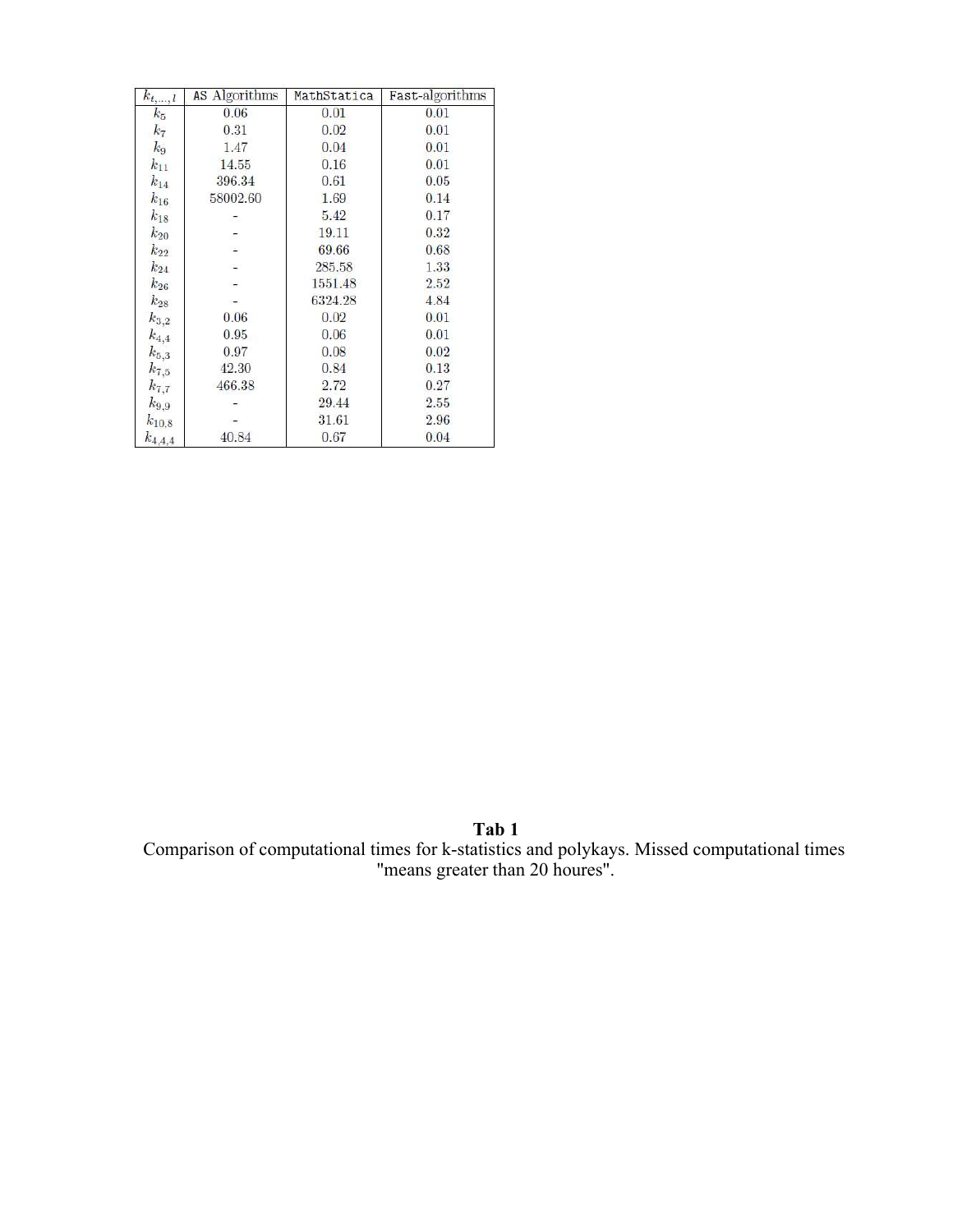| $k_{t,\ldots,l}$ | <b>AS</b> Algorithms | MathStatica | Fast-algorithms |
|------------------|----------------------|-------------|-----------------|
| $k_{5}$          | 0.06                 | 0.01        | 0.01            |
| k <sub>7</sub>   | 0.31                 | 0.02        | 0.01            |
| $k_{9}$          | 1.47                 | 0.04        | 0.01            |
| $k_{11}$         | 14.55                | 0.16        | 0.01            |
| $k_{14}$         | 396.34               | 0.61        | 0.05            |
| $k_{16}$         | 58002.60             | 1.69        | 0.14            |
| $k_{18}$         |                      | 5.42        | 0.17            |
| $k_{20}$         | C.                   | 19.11       | 0.32            |
| $k_{22}$         |                      | 69.66       | 0.68            |
| $k_{24}$         |                      | 285.58      | 1.33            |
| $k_{26}$         |                      | 1551.48     | 2.52            |
| $k_{28}$         |                      | 6324.28     | 4.84            |
| $k_{3,2}$        | 0.06                 | 0.02        | 0.01            |
| $k_{4,4}$        | 0.95                 | 0.06        | 0.01            |
| $k_{5,3}$        | 0.97                 | 0.08        | 0.02            |
| $k_{7,5}$        | 42.30                | 0.84        | 0.13            |
| $k_{7,7}$        | 466.38               | 2.72        | 0.27            |
| $k_{9,9}$        |                      | 29.44       | 2.55            |
| $k_{10,8}$       |                      | 31.61       | 2.96            |
| $k_{4,4,4}$      | 40.84                | 0.67        | 0.04            |

Tab 1 Comparison of computational times for k-statistics and polykays. Missed computational times "means greater than 20 houres".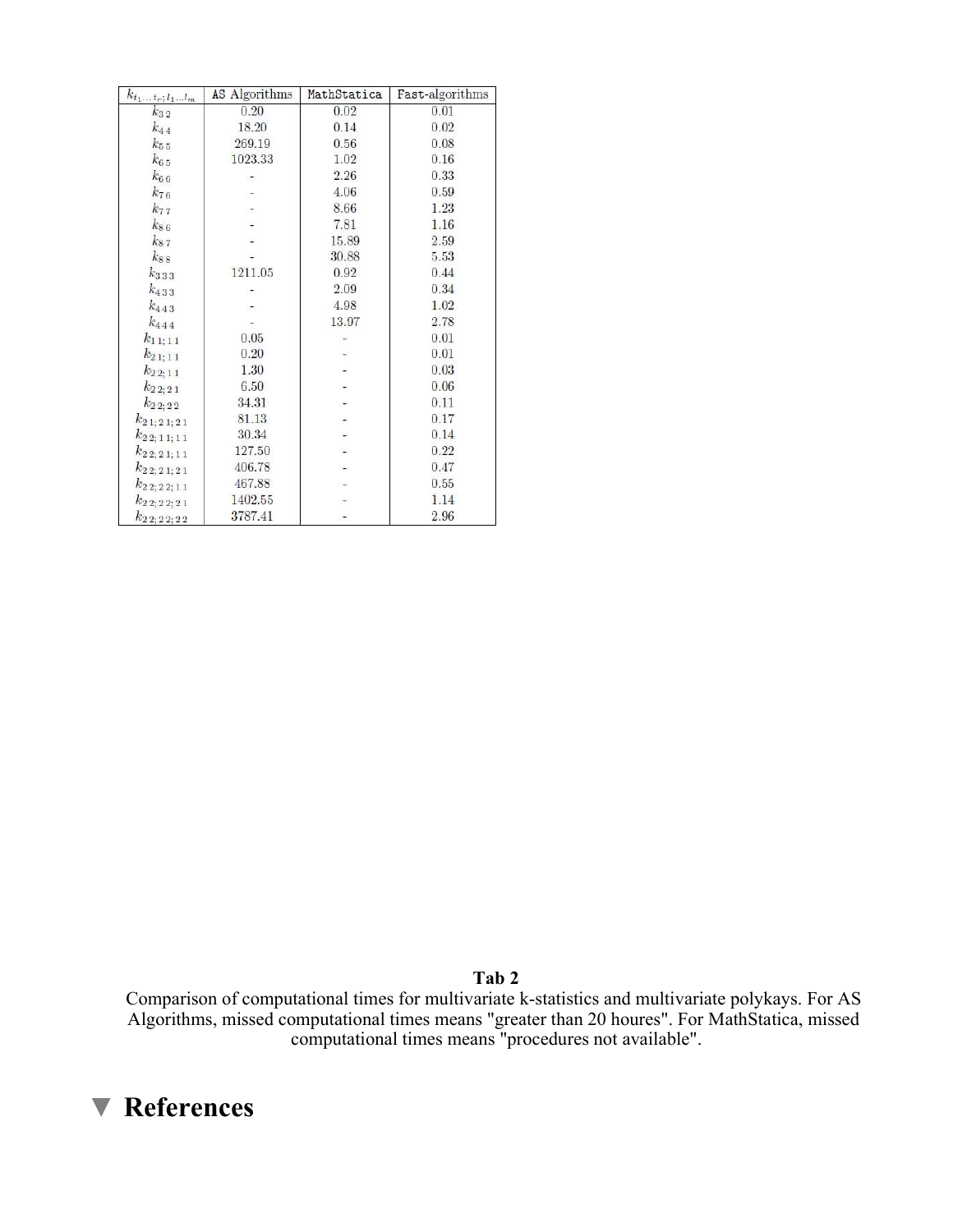| $k_{t_1t_r; l_1l_m}$     | AS Algorithms | MathStatica | Fast-algorithms |
|--------------------------|---------------|-------------|-----------------|
| $k_{3\,2}$               | 0.20          | 0.02        | 0.01            |
| $k_{44}$                 | 18.20         | 0.14        | 0.02            |
| $k_{55}$                 | 269.19        | 0.56        | 0.08            |
| $k_{65}$                 | 1023.33       | 1.02        | 0.16            |
| $k_{66}$                 |               | 2.26        | 0.33            |
| $k_{76}$                 |               | 4.06        | 0.59            |
| $k_{77}$                 |               | 8.66        | 1.23            |
| $k_{8\,6}$               |               | 7.81        | 1.16            |
| $k_{87}$                 |               | 15.89       | 2.59            |
| $k_{88}$                 |               | 30.88       | 5.53            |
| $k_{333}$                | 1211.05       | 0.92        | 0.44            |
| $k_{433}$                |               | 2.09        | 0.34            |
| $k_{443}$                |               | 4.98        | 1.02            |
| $k_{444}$                |               | 13.97       | 2.78            |
| $k_{11;11}$              | 0.05          |             | 0.01            |
| $k_{21;11}$              | 0.20          |             | 0.01            |
| $k_{2\,2;\,1\,1}$        | 1.30          |             | 0.03            |
| $k_{2\,2;\,2\,1}$        | 6.50          |             | 0.06            |
| $k_{2\,2;\,2\,2}$        | 34.31         |             | 0.11            |
| $k_{2\,1;\,2\,1;\,2\,1}$ | 81.13         |             | 0.17            |
| $k_{22;11;11}$           | 30.34         |             | 0.14            |
| $k_{2\,2;\,2\,1;\,1\,1}$ | 127.50        |             | 0.22            |
| $k_{22;21;21}$           | 406.78        |             | 0.47            |
| $k_{2\,2;\,2\,2;\,1\,1}$ | 467.88        |             | 0.55            |
| $k_{2\,2;\,2\,2;\,2\,1}$ | 1402.55       |             | 1.14            |
| $k_{22;22;22}$           | 3787.41       |             | 2.96            |

Tab 2

Comparison of computational times for multivariate k-statistics and multivariate polykays. For AS Algorithms, missed computational times means "greater than 20 houres". For MathStatica, missed computational times means "procedures not available".